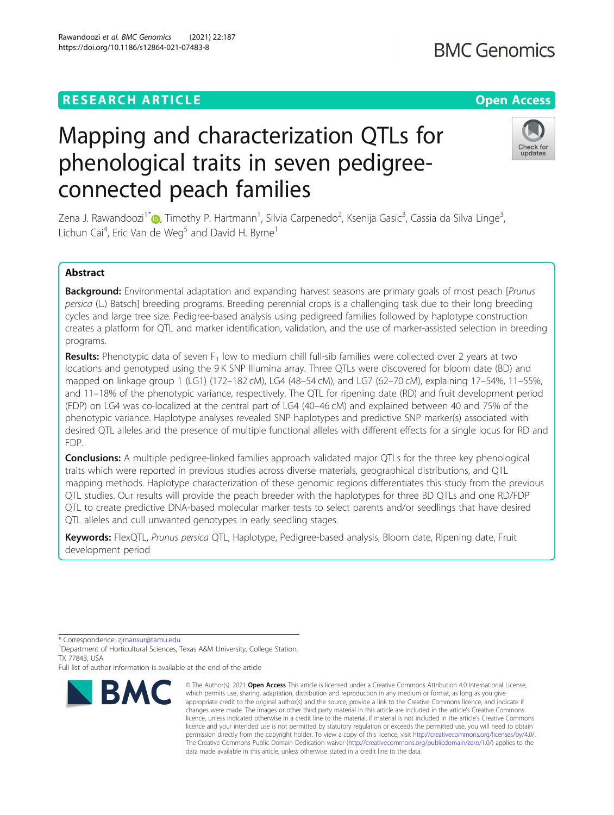## **RESEARCH ARTICLE Example 2014 12:30 The Contract of Contract ACCESS**

# Mapping and characterization QTLs for phenological traits in seven pedigreeconnected peach families

Zena J. Rawandoozi<sup>1\*</sup>�, Timothy P. Hartmann<sup>1</sup>, Silvia Carpenedo<sup>2</sup>, Ksenija Gasic<sup>3</sup>, Cassia da Silva Linge<sup>3</sup> , Lichun Cai<sup>4</sup>, Eric Van de Weg<sup>5</sup> and David H. Byrne<sup>1</sup>

## Abstract

Background: Environmental adaptation and expanding harvest seasons are primary goals of most peach [Prunus persica (L.) Batsch] breeding programs. Breeding perennial crops is a challenging task due to their long breeding cycles and large tree size. Pedigree-based analysis using pedigreed families followed by haplotype construction creates a platform for QTL and marker identification, validation, and the use of marker-assisted selection in breeding programs.

Results: Phenotypic data of seven  $F_1$  low to medium chill full-sib families were collected over 2 years at two locations and genotyped using the 9 K SNP Illumina array. Three QTLs were discovered for bloom date (BD) and mapped on linkage group 1 (LG1) (172–182 cM), LG4 (48–54 cM), and LG7 (62–70 cM), explaining 17–54%, 11–55%, and 11–18% of the phenotypic variance, respectively. The QTL for ripening date (RD) and fruit development period (FDP) on LG4 was co-localized at the central part of LG4 (40–46 cM) and explained between 40 and 75% of the phenotypic variance. Haplotype analyses revealed SNP haplotypes and predictive SNP marker(s) associated with desired QTL alleles and the presence of multiple functional alleles with different effects for a single locus for RD and FDP.

**Conclusions:** A multiple pedigree-linked families approach validated major QTLs for the three key phenological traits which were reported in previous studies across diverse materials, geographical distributions, and QTL mapping methods. Haplotype characterization of these genomic regions differentiates this study from the previous QTL studies. Our results will provide the peach breeder with the haplotypes for three BD QTLs and one RD/FDP QTL to create predictive DNA-based molecular marker tests to select parents and/or seedlings that have desired QTL alleles and cull unwanted genotypes in early seedling stages.

Keywords: FlexQTL, Prunus persica QTL, Haplotype, Pedigree-based analysis, Bloom date, Ripening date, Fruit development period

\* Correspondence: [zjmansur@tamu.edu](mailto:zjmansur@tamu.edu) <sup>1</sup>

<sup>1</sup>Department of Horticultural Sciences, Texas A&M University, College Station, TX 77843, USA





Full list of author information is available at the end of the article

<sup>©</sup> The Author(s), 2021 **Open Access** This article is licensed under a Creative Commons Attribution 4.0 International License, which permits use, sharing, adaptation, distribution and reproduction in any medium or format, as long as you give appropriate credit to the original author(s) and the source, provide a link to the Creative Commons licence, and indicate if changes were made. The images or other third party material in this article are included in the article's Creative Commons licence, unless indicated otherwise in a credit line to the material. If material is not included in the article's Creative Commons licence and your intended use is not permitted by statutory regulation or exceeds the permitted use, you will need to obtain permission directly from the copyright holder. To view a copy of this licence, visit [http://creativecommons.org/licenses/by/4.0/.](http://creativecommons.org/licenses/by/4.0/) The Creative Commons Public Domain Dedication waiver [\(http://creativecommons.org/publicdomain/zero/1.0/](http://creativecommons.org/publicdomain/zero/1.0/)) applies to the data made available in this article, unless otherwise stated in a credit line to the data.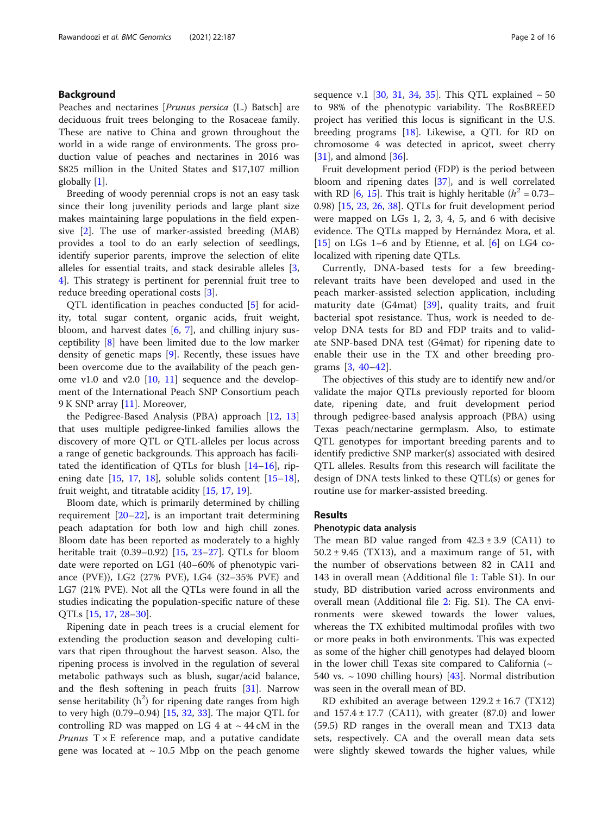## Background

Peaches and nectarines [Prunus persica (L.) Batsch] are deciduous fruit trees belonging to the Rosaceae family. These are native to China and grown throughout the world in a wide range of environments. The gross production value of peaches and nectarines in 2016 was \$825 million in the United States and \$17,107 million globally [\[1](#page-13-0)].

Breeding of woody perennial crops is not an easy task since their long juvenility periods and large plant size makes maintaining large populations in the field expensive [[2\]](#page-13-0). The use of marker-assisted breeding (MAB) provides a tool to do an early selection of seedlings, identify superior parents, improve the selection of elite alleles for essential traits, and stack desirable alleles [\[3](#page-13-0), [4\]](#page-13-0). This strategy is pertinent for perennial fruit tree to reduce breeding operational costs [[3\]](#page-13-0).

QTL identification in peaches conducted [\[5\]](#page-13-0) for acidity, total sugar content, organic acids, fruit weight, bloom, and harvest dates  $[6, 7]$  $[6, 7]$  $[6, 7]$  $[6, 7]$  $[6, 7]$ , and chilling injury susceptibility [[8\]](#page-13-0) have been limited due to the low marker density of genetic maps [[9\]](#page-13-0). Recently, these issues have been overcome due to the availability of the peach genome v1.0 and v2.0  $[10, 11]$  $[10, 11]$  $[10, 11]$  $[10, 11]$  sequence and the development of the International Peach SNP Consortium peach 9 K SNP array [[11](#page-13-0)]. Moreover,

the Pedigree-Based Analysis (PBA) approach [\[12,](#page-13-0) [13](#page-13-0)] that uses multiple pedigree-linked families allows the discovery of more QTL or QTL-alleles per locus across a range of genetic backgrounds. This approach has facilitated the identification of QTLs for blush [[14](#page-13-0)–[16](#page-13-0)], ripening date  $[15, 17, 18]$  $[15, 17, 18]$  $[15, 17, 18]$  $[15, 17, 18]$  $[15, 17, 18]$ , soluble solids content  $[15-18]$  $[15-18]$  $[15-18]$  $[15-18]$  $[15-18]$ , fruit weight, and titratable acidity [[15](#page-13-0), [17](#page-13-0), [19](#page-13-0)].

Bloom date, which is primarily determined by chilling requirement [[20](#page-13-0)–[22](#page-13-0)], is an important trait determining peach adaptation for both low and high chill zones. Bloom date has been reported as moderately to a highly heritable trait (0.39–0.92) [\[15](#page-13-0), [23](#page-14-0)–[27\]](#page-14-0). QTLs for bloom date were reported on LG1 (40–60% of phenotypic variance (PVE)), LG2 (27% PVE), LG4 (32–35% PVE) and LG7 (21% PVE). Not all the QTLs were found in all the studies indicating the population-specific nature of these QTLs [\[15](#page-13-0), [17](#page-13-0), [28](#page-14-0)–[30\]](#page-14-0).

Ripening date in peach trees is a crucial element for extending the production season and developing cultivars that ripen throughout the harvest season. Also, the ripening process is involved in the regulation of several metabolic pathways such as blush, sugar/acid balance, and the flesh softening in peach fruits [\[31](#page-14-0)]. Narrow sense heritability ( $h^2$ ) for ripening date ranges from high to very high (0.79–0.94) [\[15](#page-13-0), [32](#page-14-0), [33](#page-14-0)]. The major QTL for controlling RD was mapped on LG 4 at  $\sim$  44 cM in the *Prunus*  $T \times E$  reference map, and a putative candidate gene was located at  $\sim$  10.5 Mbp on the peach genome sequence v.1 [[30,](#page-14-0) [31,](#page-14-0) [34](#page-14-0), [35](#page-14-0)]. This QTL explained  $\sim$  50 to 98% of the phenotypic variability. The RosBREED project has verified this locus is significant in the U.S. breeding programs [\[18](#page-13-0)]. Likewise, a QTL for RD on chromosome 4 was detected in apricot, sweet cherry [[31\]](#page-14-0), and almond [[36\]](#page-14-0).

Fruit development period (FDP) is the period between bloom and ripening dates [\[37](#page-14-0)], and is well correlated with RD [[6](#page-13-0), [15\]](#page-13-0). This trait is highly heritable  $(h^2 = 0.73-$ 0.98) [\[15,](#page-13-0) [23,](#page-14-0) [26](#page-14-0), [38](#page-14-0)]. QTLs for fruit development period were mapped on LGs 1, 2, 3, 4, 5, and 6 with decisive evidence. The QTLs mapped by Hernández Mora, et al. [[15\]](#page-13-0) on LGs 1–6 and by Etienne, et al.  $[6]$  $[6]$  on LG4 colocalized with ripening date QTLs.

Currently, DNA-based tests for a few breedingrelevant traits have been developed and used in the peach marker-assisted selection application, including maturity date (G4mat) [[39](#page-14-0)], quality traits, and fruit bacterial spot resistance. Thus, work is needed to develop DNA tests for BD and FDP traits and to validate SNP-based DNA test (G4mat) for ripening date to enable their use in the TX and other breeding programs [\[3](#page-13-0), [40](#page-14-0)–[42](#page-14-0)].

The objectives of this study are to identify new and/or validate the major QTLs previously reported for bloom date, ripening date, and fruit development period through pedigree-based analysis approach (PBA) using Texas peach/nectarine germplasm. Also, to estimate QTL genotypes for important breeding parents and to identify predictive SNP marker(s) associated with desired QTL alleles. Results from this research will facilitate the design of DNA tests linked to these QTL(s) or genes for routine use for marker-assisted breeding.

#### Results

## Phenotypic data analysis

The mean BD value ranged from  $42.3 \pm 3.9$  (CA11) to  $50.2 \pm 9.45$  (TX13), and a maximum range of 51, with the number of observations between 82 in CA11 and 143 in overall mean (Additional file [1](#page-13-0): Table S1). In our study, BD distribution varied across environments and overall mean (Additional file [2](#page-13-0): Fig. S1). The CA environments were skewed towards the lower values, whereas the TX exhibited multimodal profiles with two or more peaks in both environments. This was expected as some of the higher chill genotypes had delayed bloom in the lower chill Texas site compared to California ( $\sim$ 540 vs.  $\sim$  1090 chilling hours) [[43](#page-14-0)]. Normal distribution was seen in the overall mean of BD.

RD exhibited an average between 129.2 ± 16.7 (TX12) and  $157.4 \pm 17.7$  (CA11), with greater (87.0) and lower (59.5) RD ranges in the overall mean and TX13 data sets, respectively. CA and the overall mean data sets were slightly skewed towards the higher values, while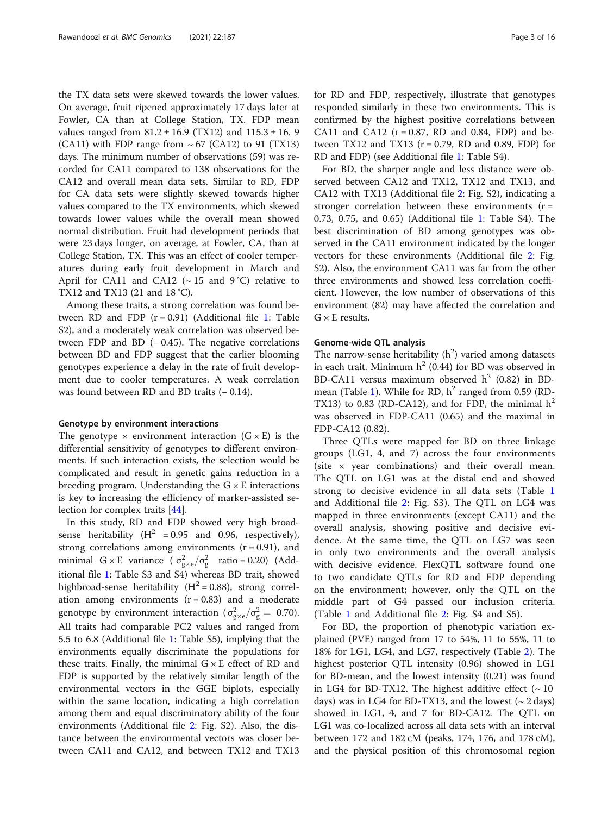the TX data sets were skewed towards the lower values. On average, fruit ripened approximately 17 days later at Fowler, CA than at College Station, TX. FDP mean values ranged from  $81.2 \pm 16.9$  (TX12) and  $115.3 \pm 16.9$ (CA11) with FDP range from  $\sim 67$  (CA12) to 91 (TX13) days. The minimum number of observations (59) was recorded for CA11 compared to 138 observations for the CA12 and overall mean data sets. Similar to RD, FDP for CA data sets were slightly skewed towards higher values compared to the TX environments, which skewed towards lower values while the overall mean showed normal distribution. Fruit had development periods that were 23 days longer, on average, at Fowler, CA, than at College Station, TX. This was an effect of cooler temperatures during early fruit development in March and April for CA11 and CA12 ( $\sim$  15 and 9 °C) relative to TX12 and TX13 (21 and 18 °C).

Among these traits, a strong correlation was found between RD and FDP  $(r = 0.91)$  (Additional file [1:](#page-13-0) Table S2), and a moderately weak correlation was observed between FDP and BD  $(-0.45)$ . The negative correlations between BD and FDP suggest that the earlier blooming genotypes experience a delay in the rate of fruit development due to cooler temperatures. A weak correlation was found between RD and BD traits (− 0.14).

#### Genotype by environment interactions

The genotype  $\times$  environment interaction (G  $\times$  E) is the differential sensitivity of genotypes to different environments. If such interaction exists, the selection would be complicated and result in genetic gains reduction in a breeding program. Understanding the  $G \times E$  interactions is key to increasing the efficiency of marker-assisted selection for complex traits [\[44](#page-14-0)].

In this study, RD and FDP showed very high broadsense heritability ( $H^2 = 0.95$  and 0.96, respectively), strong correlations among environments  $(r = 0.91)$ , and minimal  $G \times E$  variance  $(\sigma_{g \times e}^2 / \sigma_g^2 \text{ ratio} = 0.20)$  (Additional file [1](#page-13-0): Table S3 and S4) whereas BD trait, showed highbroad-sense heritability  $(H^2 = 0.88)$ , strong correlation among environments  $(r = 0.83)$  and a moderate genotype by environment interaction ( $\sigma_{\text{g}\times\text{e}}^2/\sigma_{\text{g}}^2 = 0.70$ ). All traits had comparable PC2 values and ranged from 5.5 to 6.8 (Additional file [1](#page-13-0): Table S5), implying that the environments equally discriminate the populations for these traits. Finally, the minimal  $G \times E$  effect of RD and FDP is supported by the relatively similar length of the environmental vectors in the GGE biplots, especially within the same location, indicating a high correlation among them and equal discriminatory ability of the four environments (Additional file [2:](#page-13-0) Fig. S2). Also, the distance between the environmental vectors was closer between CA11 and CA12, and between TX12 and TX13 for RD and FDP, respectively, illustrate that genotypes responded similarly in these two environments. This is confirmed by the highest positive correlations between CA11 and CA12 ( $r = 0.87$ , RD and 0.84, FDP) and between TX12 and TX13 ( $r = 0.79$ , RD and 0.89, FDP) for RD and FDP) (see Additional file [1:](#page-13-0) Table S4).

For BD, the sharper angle and less distance were observed between CA12 and TX12, TX12 and TX13, and CA12 with TX13 (Additional file [2:](#page-13-0) Fig. S2), indicating a stronger correlation between these environments  $(r =$ 0.73, 0.75, and 0.65) (Additional file [1](#page-13-0): Table S4). The best discrimination of BD among genotypes was observed in the CA11 environment indicated by the longer vectors for these environments (Additional file [2:](#page-13-0) Fig. S2). Also, the environment CA11 was far from the other three environments and showed less correlation coefficient. However, the low number of observations of this environment (82) may have affected the correlation and  $G \times E$  results.

## Genome-wide QTL analysis

The narrow-sense heritability  $(h^2)$  varied among datasets in each trait. Minimum  $h^2$  (0.44) for BD was observed in BD-CA11 versus maximum observed  $h^2$  (0.82) in BD-mean (Table [1](#page-3-0)). While for RD,  $h^2$  ranged from 0.59 (RD-TX13) to 0.83 (RD-CA12), and for FDP, the minimal  $h^2$ was observed in FDP-CA11 (0.65) and the maximal in FDP-CA12 (0.82).

Three QTLs were mapped for BD on three linkage groups (LG1, 4, and 7) across the four environments (site  $\times$  year combinations) and their overall mean. The QTL on LG1 was at the distal end and showed strong to decisive evidence in all data sets (Table [1](#page-3-0) and Additional file [2:](#page-13-0) Fig. S3). The QTL on LG4 was mapped in three environments (except CA11) and the overall analysis, showing positive and decisive evidence. At the same time, the QTL on LG7 was seen in only two environments and the overall analysis with decisive evidence. FlexQTL software found one to two candidate QTLs for RD and FDP depending on the environment; however, only the QTL on the middle part of G4 passed our inclusion criteria. (Table [1](#page-3-0) and Additional file [2](#page-13-0): Fig. S4 and S5).

For BD, the proportion of phenotypic variation explained (PVE) ranged from 17 to 54%, 11 to 55%, 11 to 18% for LG1, LG4, and LG7, respectively (Table [2\)](#page-4-0). The highest posterior QTL intensity (0.96) showed in LG1 for BD-mean, and the lowest intensity (0.21) was found in LG4 for BD-TX12. The highest additive effect  $($   $\sim$  10 days) was in LG4 for BD-TX13, and the lowest  $($   $\sim$  2 days) showed in LG1, 4, and 7 for BD-CA12. The QTL on LG1 was co-localized across all data sets with an interval between 172 and 182 cM (peaks, 174, 176, and 178 cM), and the physical position of this chromosomal region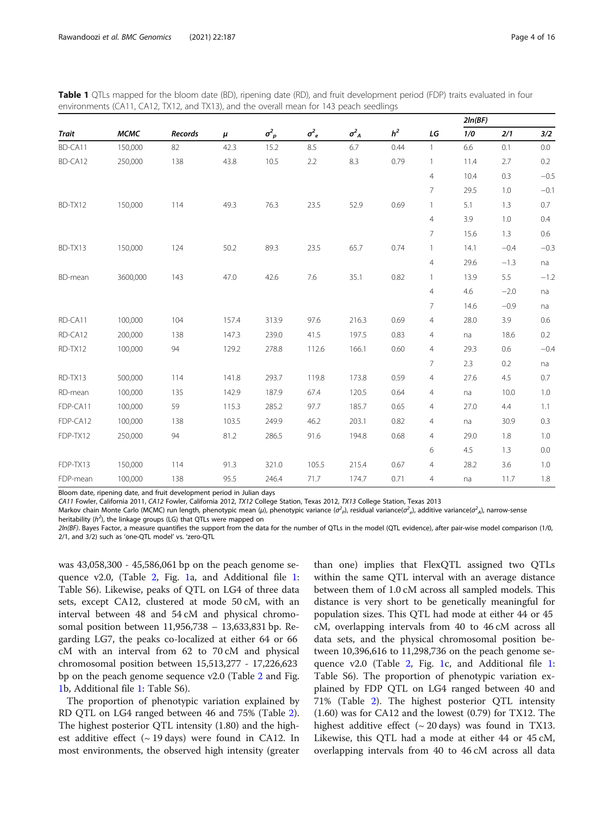<span id="page-3-0"></span>

| <b>Table 1</b> QTLs mapped for the bloom date (BD), ripening date (RD), and fruit development period (FDP) traits evaluated in four |  |
|-------------------------------------------------------------------------------------------------------------------------------------|--|
| environments (CA11, CA12, TX12, and TX13), and the overall mean for 143 peach seedlings                                             |  |

|              |             |                |       |              |              |              |                |                | 2ln(BF) |        |        |
|--------------|-------------|----------------|-------|--------------|--------------|--------------|----------------|----------------|---------|--------|--------|
| <b>Trait</b> | <b>MCMC</b> | <b>Records</b> | $\mu$ | $\sigma_p^2$ | $\sigma_e^2$ | $\sigma_A^2$ | h <sup>2</sup> | LG             | 1/0     | 2/1    | 3/2    |
| BD-CA11      | 150,000     | 82             | 42.3  | 15.2         | 8.5          | 6.7          | 0.44           | $\mathbf{1}$   | 6.6     | 0.1    | 0.0    |
| BD-CA12      | 250,000     | 138            | 43.8  | 10.5         | 2.2          | 8.3          | 0.79           | $\mathbf{1}$   | 11.4    | 2.7    | 0.2    |
|              |             |                |       |              |              |              |                | $\overline{4}$ | 10.4    | 0.3    | $-0.5$ |
|              |             |                |       |              |              |              |                | $\overline{7}$ | 29.5    | 1.0    | $-0.1$ |
| BD-TX12      | 150,000     | 114            | 49.3  | 76.3         | 23.5         | 52.9         | 0.69           | $\mathbf{1}$   | 5.1     | 1.3    | 0.7    |
|              |             |                |       |              |              |              |                | $\overline{4}$ | 3.9     | 1.0    | 0.4    |
|              |             |                |       |              |              |              |                | 7              | 15.6    | 1.3    | 0.6    |
| BD-TX13      | 150,000     | 124            | 50.2  | 89.3         | 23.5         | 65.7         | 0.74           | $\mathbf{1}$   | 14.1    | $-0.4$ | $-0.3$ |
|              |             |                |       |              |              |              |                | $\overline{4}$ | 29.6    | $-1.3$ | na     |
| BD-mean      | 3600,000    | 143            | 47.0  | 42.6         | 7.6          | 35.1         | 0.82           | $\mathbf{1}$   | 13.9    | 5.5    | $-1.2$ |
|              |             |                |       |              |              |              |                | $\overline{4}$ | 4.6     | $-2.0$ | na     |
|              |             |                |       |              |              |              |                | $\overline{7}$ | 14.6    | $-0.9$ | na     |
| RD-CA11      | 100,000     | 104            | 157.4 | 313.9        | 97.6         | 216.3        | 0.69           | $\overline{4}$ | 28.0    | 3.9    | 0.6    |
| RD-CA12      | 200,000     | 138            | 147.3 | 239.0        | 41.5         | 197.5        | 0.83           | $\overline{4}$ | na      | 18.6   | 0.2    |
| RD-TX12      | 100,000     | 94             | 129.2 | 278.8        | 112.6        | 166.1        | 0.60           | $\overline{4}$ | 29.3    | 0.6    | $-0.4$ |
|              |             |                |       |              |              |              |                | $\overline{7}$ | 2.3     | 0.2    | na     |
| RD-TX13      | 500,000     | 114            | 141.8 | 293.7        | 119.8        | 173.8        | 0.59           | $\overline{4}$ | 27.6    | 4.5    | 0.7    |
| RD-mean      | 100,000     | 135            | 142.9 | 187.9        | 67.4         | 120.5        | 0.64           | $\overline{4}$ | na      | 10.0   | 1.0    |
| FDP-CA11     | 100,000     | 59             | 115.3 | 285.2        | 97.7         | 185.7        | 0.65           | $\overline{4}$ | 27.0    | 4.4    | 1.1    |
| FDP-CA12     | 100,000     | 138            | 103.5 | 249.9        | 46.2         | 203.1        | 0.82           | $\overline{4}$ | na      | 30.9   | 0.3    |
| FDP-TX12     | 250,000     | 94             | 81.2  | 286.5        | 91.6         | 194.8        | 0.68           | $\overline{4}$ | 29.0    | 1.8    | 1.0    |
|              |             |                |       |              |              |              |                | 6              | 4.5     | 1.3    | 0.0    |
| FDP-TX13     | 150,000     | 114            | 91.3  | 321.0        | 105.5        | 215.4        | 0.67           | $\overline{4}$ | 28.2    | 3.6    | 1.0    |
| FDP-mean     | 100,000     | 138            | 95.5  | 246.4        | 71.7         | 174.7        | 0.71           | $\overline{4}$ | na      | 11.7   | 1.8    |

Bloom date, ripening date, and fruit development period in Julian days

CA11 Fowler, California 2011, CA12 Fowler, California 2012, TX12 College Station, Texas 2012, TX13 College Station, Texas 2013

Markov chain Monte Carlo (MCMC) run length, phenotypic mean (µ), phenotypic variance ( $\sigma_P^2$ ), residual variance( $\sigma_e^2$ ), additive variance( $\sigma_A^2$ ), narrow-sense

heritability  $(h^2)$ , the linkage groups (LG) that QTLs were mapped on

2ln(BF). Bayes Factor, a measure quantifies the support from the data for the number of QTLs in the model (QTL evidence), after pair-wise model comparison (1/0, 2/1, and 3/2) such as 'one-QTL model' vs. 'zero-QTL

was 43,058,300 - 45,586,061 bp on the peach genome sequence v2.0, (Table [2,](#page-4-0) Fig. [1](#page-5-0)a, and Additional file [1](#page-13-0): Table S6). Likewise, peaks of QTL on LG4 of three data sets, except CA12, clustered at mode 50 cM, with an interval between 48 and 54 cM and physical chromosomal position between 11,956,738 – 13,633,831 bp. Regarding LG7, the peaks co-localized at either 64 or 66 cM with an interval from 62 to 70 cM and physical chromosomal position between 15,513,277 - 17,226,623 bp on the peach genome sequence v2.0 (Table [2](#page-4-0) and Fig. [1b](#page-5-0), Additional file [1](#page-13-0): Table S6).

The proportion of phenotypic variation explained by RD QTL on LG4 ranged between 46 and 75% (Table [2](#page-4-0)). The highest posterior QTL intensity (1.80) and the highest additive effect  $({\sim}19 \text{ days})$  were found in CA12. In most environments, the observed high intensity (greater than one) implies that FlexQTL assigned two QTLs within the same QTL interval with an average distance between them of 1.0 cM across all sampled models. This distance is very short to be genetically meaningful for population sizes. This QTL had mode at either 44 or 45 cM, overlapping intervals from 40 to 46 cM across all data sets, and the physical chromosomal position between 10,396,616 to 11,298,736 on the peach genome sequence v2.0 (Table [2,](#page-4-0) Fig. [1c](#page-5-0), and Additional file [1](#page-13-0): Table S6). The proportion of phenotypic variation explained by FDP QTL on LG4 ranged between 40 and 71% (Table [2](#page-4-0)). The highest posterior QTL intensity (1.60) was for CA12 and the lowest (0.79) for TX12. The highest additive effect  $({\sim 20 \text{ days}})$  was found in TX13. Likewise, this QTL had a mode at either 44 or 45 cM, overlapping intervals from 40 to 46 cM across all data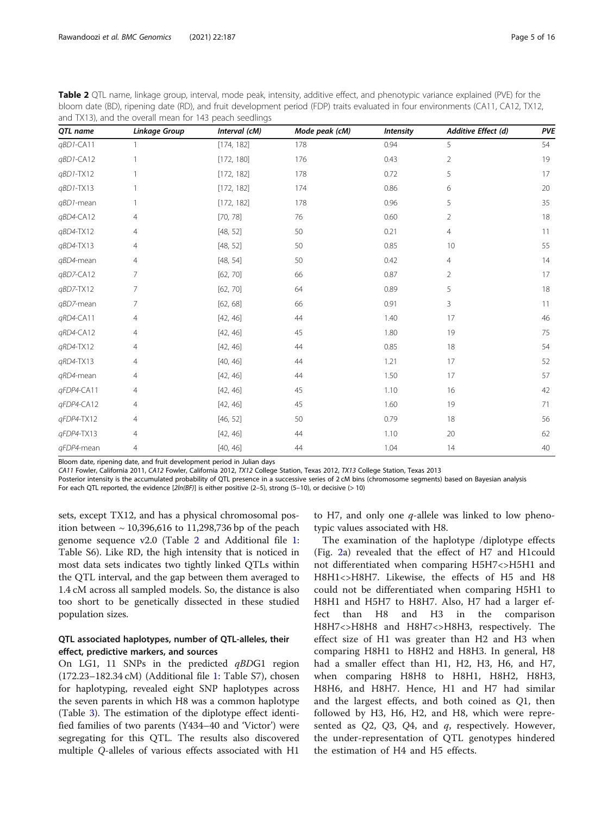<span id="page-4-0"></span>

| Table 2 QTL name, linkage group, interval, mode peak, intensity, additive effect, and phenotypic variance explained (PVE) for the |
|-----------------------------------------------------------------------------------------------------------------------------------|
| bloom date (BD), ripening date (RD), and fruit development period (FDP) traits evaluated in four environments (CA11, CA12, TX12,  |
| and TX13), and the overall mean for 143 peach seedlings                                                                           |

| QTL name   | <b>Linkage Group</b> | Interval (cM) | Mode peak (cM) | <b>Intensity</b> | Additive Effect (d)   | <b>PVE</b> |
|------------|----------------------|---------------|----------------|------------------|-----------------------|------------|
| qBD1-CA11  | $\mathbf{1}$         | [174, 182]    | 178            | 0.94             | 5                     | 54         |
| qBD1-CA12  |                      | [172, 180]    | 176            | 0.43             | 2                     | 19         |
| qBD1-TX12  |                      | [172, 182]    | 178            | 0.72             | 5                     | 17         |
| qBD1-TX13  |                      | [172, 182]    | 174            | 0.86             | 6                     | 20         |
| qBD1-mean  |                      | [172, 182]    | 178            | 0.96             | 5                     | 35         |
| qBD4-CA12  | $\overline{4}$       | [70, 78]      | 76             | 0.60             | $\overline{2}$        | 18         |
| qBD4-TX12  | 4                    | [48, 52]      | 50             | 0.21             | $\overline{4}$        | 11         |
| qBD4-TX13  | 4                    | [48, 52]      | 50             | 0.85             | 10                    | 55         |
| qBD4-mean  | 4                    | [48, 54]      | 50             | 0.42             | 4                     | 14         |
| qBD7-CA12  | $\overline{7}$       | [62, 70]      | 66             | 0.87             | $\mathbf{2}^{\prime}$ | 17         |
| qBD7-TX12  | $\overline{7}$       | [62, 70]      | 64             | 0.89             | 5                     | 18         |
| qBD7-mean  | 7                    | [62, 68]      | 66             | 0.91             | 3                     | 11         |
| qRD4-CA11  | 4                    | [42, 46]      | 44             | 1.40             | 17                    | 46         |
| qRD4-CA12  | $\overline{4}$       | [42, 46]      | 45             | 1.80             | 19                    | 75         |
| qRD4-TX12  | 4                    | [42, 46]      | 44             | 0.85             | 18                    | 54         |
| qRD4-TX13  | 4                    | [40, 46]      | 44             | 1.21             | 17                    | 52         |
| qRD4-mean  | $\overline{4}$       | [42, 46]      | 44             | 1.50             | 17                    | 57         |
| qFDP4-CA11 | 4                    | [42, 46]      | 45             | 1.10             | 16                    | 42         |
| qFDP4-CA12 | $\overline{4}$       | [42, 46]      | 45             | 1.60             | 19                    | 71         |
| qFDP4-TX12 | 4                    | [46, 52]      | 50             | 0.79             | 18                    | 56         |
| qFDP4-TX13 | $\overline{4}$       | [42, 46]      | 44             | 1.10             | 20                    | 62         |
| qFDP4-mean | $\overline{4}$       | [40, 46]      | 44             | 1.04             | 14                    | 40         |

Bloom date, ripening date, and fruit development period in Julian days

CA11 Fowler, California 2011, CA12 Fowler, California 2012, TX12 College Station, Texas 2012, TX13 College Station, Texas 2013

Posterior intensity is the accumulated probability of QTL presence in a successive series of 2 cM bins (chromosome segments) based on Bayesian analysis

For each QTL reported, the evidence  $[2ln(BF)]$  is either positive (2-5), strong (5-10), or decisive (> 10)

sets, except TX12, and has a physical chromosomal position between ~ 10,396,616 to 11,298,736 bp of the peach genome sequence v2.0 (Table 2 and Additional file [1](#page-13-0): Table S6). Like RD, the high intensity that is noticed in most data sets indicates two tightly linked QTLs within the QTL interval, and the gap between them averaged to 1.4 cM across all sampled models. So, the distance is also too short to be genetically dissected in these studied population sizes.

## QTL associated haplotypes, number of QTL-alleles, their effect, predictive markers, and sources

On LG1, 11 SNPs in the predicted  $qBDG1$  region (172.23–182.34 cM) (Additional file [1:](#page-13-0) Table S7), chosen for haplotyping, revealed eight SNP haplotypes across the seven parents in which H8 was a common haplotype (Table [3\)](#page-6-0). The estimation of the diplotype effect identified families of two parents (Y434–40 and 'Victor') were segregating for this QTL. The results also discovered multiple Q-alleles of various effects associated with H1

to H7, and only one  $q$ -allele was linked to low phenotypic values associated with H8.

The examination of the haplotype /diplotype effects (Fig. [2a](#page-8-0)) revealed that the effect of H7 and H1could not differentiated when comparing H5H7<>H5H1 and H8H1<>H8H7. Likewise, the effects of H5 and H8 could not be differentiated when comparing H5H1 to H8H1 and H5H7 to H8H7. Also, H7 had a larger effect than H8 and H3 in the comparison H8H7<>H8H8 and H8H7<>H8H3, respectively. The effect size of H1 was greater than H2 and H3 when comparing H8H1 to H8H2 and H8H3. In general, H8 had a smaller effect than H1, H2, H3, H6, and H7, when comparing H8H8 to H8H1, H8H2, H8H3, H8H6, and H8H7. Hence, H1 and H7 had similar and the largest effects, and both coined as Q1, then followed by H3, H6, H2, and H8, which were represented as  $Q2$ ,  $Q3$ ,  $Q4$ , and  $q$ , respectively. However, the under-representation of QTL genotypes hindered the estimation of H4 and H5 effects.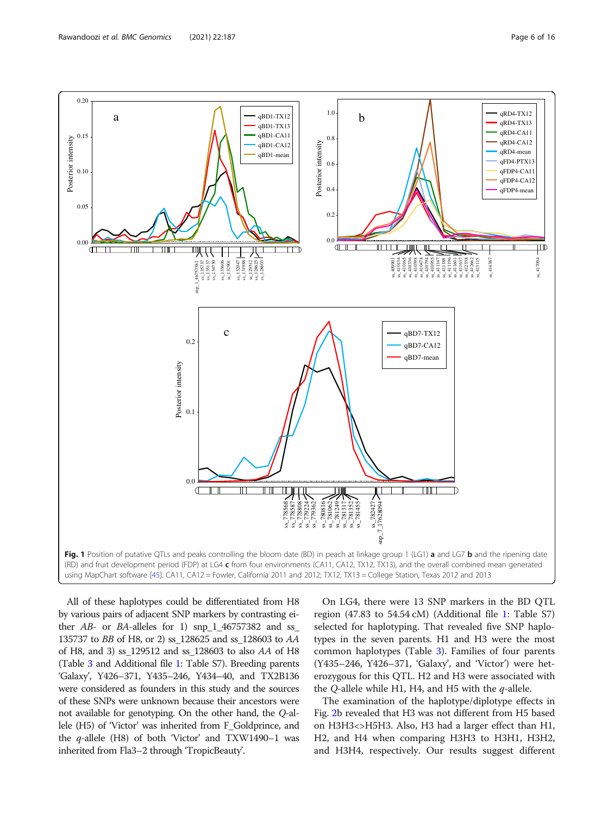<span id="page-5-0"></span>

All of these haplotypes could be differentiated from H8 by various pairs of adjacent SNP markers by contrasting either  $AB$ - or  $BA$ -alleles for 1) snp  $1$  46757382 and ss 135737 to BB of H8, or 2) ss\_128625 and ss\_128603 to AA of H8, and 3) ss\_129512 and ss\_128603 to also AA of H8 (Table [3](#page-6-0) and Additional file [1](#page-13-0): Table S7). Breeding parents 'Galaxy', Y426–371, Y435–246, Y434–40, and TX2B136 were considered as founders in this study and the sources of these SNPs were unknown because their ancestors were not available for genotyping. On the other hand, the Q-allele (H5) of 'Victor' was inherited from F\_Goldprince, and the  $q$ -allele (H8) of both 'Victor' and TXW1490–1 was inherited from Fla3–2 through 'TropicBeauty'.

On LG4, there were 13 SNP markers in the BD QTL region (47.83 to 54.54 cM) (Additional file [1](#page-13-0): Table S7) selected for haplotyping. That revealed five SNP haplotypes in the seven parents. H1 and H3 were the most common haplotypes (Table [3](#page-6-0)). Families of four parents (Y435–246, Y426–371, 'Galaxy', and 'Victor') were heterozygous for this QTL. H2 and H3 were associated with the Q-allele while H1, H4, and H5 with the  $q$ -allele.

The examination of the haplotype/diplotype effects in Fig. [2b](#page-8-0) revealed that H3 was not different from H5 based on H3H3<>H5H3. Also, H3 had a larger effect than H1, H2, and H4 when comparing H3H3 to H3H1, H3H2, and H3H4, respectively. Our results suggest different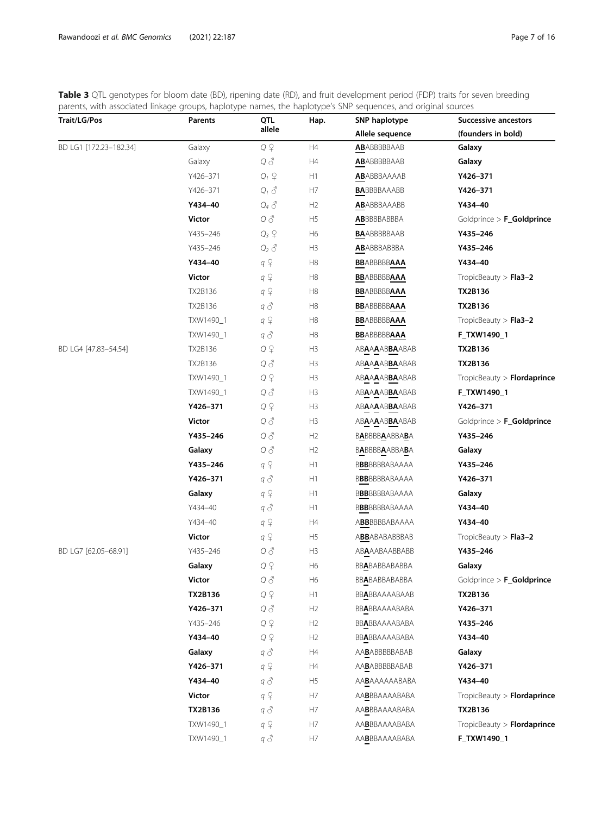<span id="page-6-0"></span>Table 3 QTL genotypes for bloom date (BD), ripening date (RD), and fruit development period (FDP) traits for seven breeding parents, with associated linkage groups, haplotype names, the haplotype's SNP sequences, and original sources

| <b>Trait/LG/Pos</b>    | منظر كمتعامل ومعامر<br>Parents | QTL                | Hap.           | SNP haplotype                            | Successive ancestors        |  |
|------------------------|--------------------------------|--------------------|----------------|------------------------------------------|-----------------------------|--|
|                        |                                | allele             |                | Allele sequence                          | (founders in bold)          |  |
| BD LG1 [172.23-182.34] | Galaxy                         | $Q \nvert P$       | H4             | <b>AB</b> ABBBBBAAB                      | Galaxy                      |  |
|                        | Galaxy                         | $Q \delta$         | H4             | <b>AB</b> ABBBBBAAB                      | Galaxy                      |  |
|                        | Y426-371                       | $Q_1$ $\varphi$    | H1             | <b>AB</b> ABBBAAAAB                      | Y426-371                    |  |
|                        | Y426-371                       | $Q_1 \n\delta$     | H7             | <b>BA</b> BBBBAAABB                      | Y426-371                    |  |
|                        | Y434-40                        | $Q_4$ $\delta$     | H2             | <b>AB</b> ABBBAAABB                      | Y434-40                     |  |
|                        | Victor                         | $Q \vartheta$      | H5             | <b>AB</b> BBBBABBBA                      | Goldprince > F_Goldprince   |  |
|                        | Y435-246                       | $Q_3$ $\downarrow$ | H <sub>6</sub> | <b>BA</b> ABBBBBAAB                      | Y435-246                    |  |
|                        | Y435-246                       | $Q_2$ $\delta$     | H <sub>3</sub> | <b>AB</b> ABBBABBBA                      | Y435-246                    |  |
|                        | Y434-40                        | $q \nvert \nvert$  | H8             | <b>BB</b> ABBBBB <b>AAA</b>              | Y434-40                     |  |
|                        | Victor                         | $q \nvert \nvert$  | H8             | <b>BBABBBBBAAA</b>                       | TropicBeauty $>$ Fla3-2     |  |
|                        | TX2B136                        | $q \nvert \nvert$  | H8             | <b>BB</b> ABBBBB <b>AAA</b>              | <b>TX2B136</b>              |  |
|                        | TX2B136                        | q 3                | H8             | <b>BBABBBBBAAA</b>                       | TX2B136                     |  |
|                        | TXW1490_1                      | $q \nvert \nvert$  | H8             | <b>BBABBBBBAAA</b>                       | TropicBeauty $>$ Fla3-2     |  |
|                        | TXW1490_1                      | q 3                | H8             | <b>BB</b> ABBBBB <b>AAA</b>              | F_TXW1490_1                 |  |
| BD LG4 [47.83-54.54]   | TX2B136                        | $Q \nvert P$       | H3             | <b>ABAAAABBAABAB</b>                     | <b>TX2B136</b>              |  |
|                        | TX2B136                        | $Q \delta$         | H3             | ABAAAABBAABAB                            | TX2B136                     |  |
|                        | TXW1490_1                      | $Q \nvert P$       | H3             | ab <b>aaaabba</b> abab                   | TropicBeauty > Flordaprince |  |
|                        | TXW1490_1                      | $Q \delta$         | H <sub>3</sub> | ABAAAABBAABAB                            | F_TXW1490_1                 |  |
|                        | Y426-371                       | $Q \nvert P$       | H3             | ABAAAABBAABAB                            | Y426-371                    |  |
|                        | Victor                         | $Q \delta$         | H <sub>3</sub> | AB <b>aaaabba</b> abab                   | Goldprince > F_Goldprince   |  |
|                        | Y435-246                       | $Q \delta$         | H2             | B <b>A</b> BBBB <b>A</b> ABBA <b>B</b> A | Y435-246                    |  |
|                        | Galaxy                         | $Q \delta$         | H2             | <b>BABBBBAABBABA</b>                     | Galaxy                      |  |
|                        | Y435-246                       | $q \nvert \nvert$  | H1             | BBBBBBBABAAAA                            | Y435-246                    |  |
|                        | Y426-371                       | $q \triangleleft$  | H1             | BBBBBBBABAAAA                            | Y426-371                    |  |
|                        | Galaxy                         | $q \nvert \nvert$  | H1             | BBBBBBABAAAA                             | Galaxy                      |  |
|                        | Y434-40                        | q 3                | H1             | BBBBBBABAAAA                             | Y434-40                     |  |
|                        | Y434-40                        | $q \nvert \nvert$  | H4             | abbbbbbabaaaa                            | Y434-40                     |  |
|                        | Victor                         | $q \nvert \nvert$  | H <sub>5</sub> | ABBABABABBBAB                            | TropicBeauty $>$ Fla3-2     |  |
| BD LG7 [62.05-68.91]   | Y435-246                       | Q ổ                | H <sub>3</sub> | ab <b>a</b> aabaabbabb                   | Y435-246                    |  |
|                        | Galaxy                         | $Q \nvert P$       | H <sub>6</sub> | BBABABBABABBA                            | Galaxy                      |  |
|                        | <b>Victor</b>                  | $Q \n\delta$       | H <sub>6</sub> | BBABABBABABBA                            | Goldprince > F_Goldprince   |  |
|                        | TX2B136                        | $Q \nsubseteq$     | H1             | BBABBAAAABAAB                            | TX2B136                     |  |
|                        | Y426-371                       | Q 3                | H2             | BB <b>A</b> BBAAAABABA                   | Y426-371                    |  |
|                        | Y435-246                       | $Q \nvert Q$       | H2             | BBABBAAAABABA                            | Y435-246                    |  |
|                        | Y434-40                        | $Q \nvert P$       | H2             | bb <b>a</b> bbaaaababa                   | Y434-40                     |  |
|                        | Galaxy                         | $q \triangleleft$  | H4             | AA <b>B</b> ABBBBBABAB                   | Galaxy                      |  |
|                        | Y426-371                       | $q \nvert \nvert$  | H4             | AA <b>B</b> ABBBBBABAB                   | Y426-371                    |  |
|                        | Y434-40                        | q I                | H <sub>5</sub> | aa <b>b</b> aaaaababa                    | Y434-40                     |  |
|                        | Victor                         | $q \nvert \nvert$  | H7             | aa <b>b</b> bbaaaababa                   | TropicBeauty > Flordaprince |  |
|                        | TX2B136                        | $q \triangleleft$  | H7             | AABBBAAAABABA                            | <b>TX2B136</b>              |  |
|                        | TXW1490_1                      | $q \nvert \nvert$  | H7             | aa <b>b</b> bbaaaababa                   | TropicBeauty > Flordaprince |  |
|                        | TXW1490_1                      | $q \triangleleft$  | H7             | AABBBAAAABABA                            | F_TXW1490_1                 |  |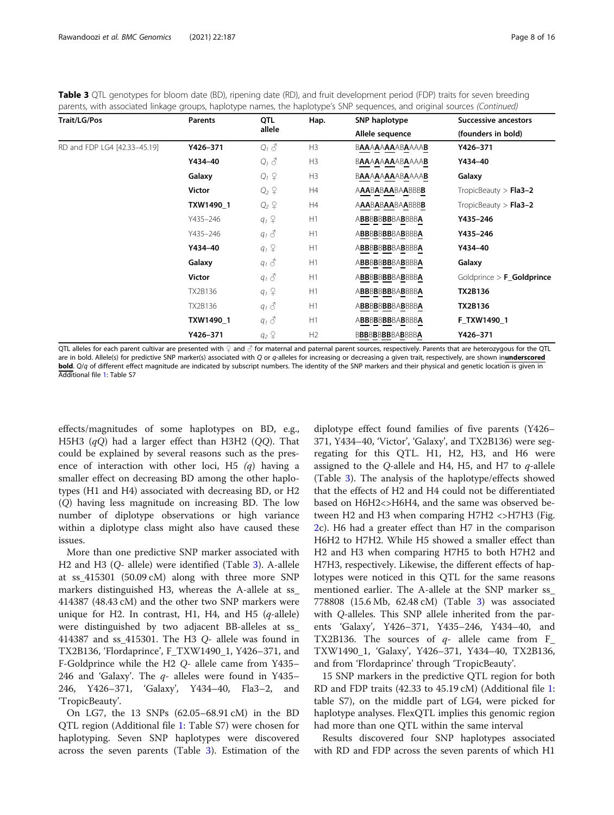Table 3 QTL genotypes for bloom date (BD), ripening date (RD), and fruit development period (FDP) traits for seven breeding parents, with associated linkage groups, haplotype names, the haplotype's SNP sequences, and original sources (Continued)

| <b>Trait/LG/Pos</b>          | <b>Parents</b> | QTL                                   | Hap. | SNP haplotype          | <b>Successive ancestors</b><br>(founders in bold) |  |
|------------------------------|----------------|---------------------------------------|------|------------------------|---------------------------------------------------|--|
|                              |                | allele                                |      | Allele sequence        |                                                   |  |
| RD and FDP LG4 [42.33-45.19] | Y426-371       | $Q_i \delta$                          | H3   | <b>BAAAAAAAABAAAAB</b> | Y426-371                                          |  |
|                              | Y434-40        | $Q_i \delta$                          | H3   | BAAAAAAAABAAAAB        | Y434-40                                           |  |
|                              | Galaxy         | $Q_1 \nsubseteq$                      | H3   | BAAAAAAAABAAAAB        | Galaxy                                            |  |
|                              | <b>Victor</b>  | $Q_2 \nbrace 2$                       | H4   | AAABABAABAABBBB        | TropicBeauty > $Fla3-2$                           |  |
|                              | TXW1490 1      | $Q_2$ $\varphi$                       | H4   | AAABABAABAABBBB        | TropicBeauty $>$ Fla3-2                           |  |
|                              | Y435-246       | $q_1 \nightharpoonup$                 | H1   | ABBBBBBBBABBBBA        | Y435-246                                          |  |
|                              | Y435-246       | $q_1 \delta$                          | H1   | ABBBBBBBBABBBBA        | Y435-246                                          |  |
|                              | Y434-40        | $q_1$ $\varphi$                       | H1   | ABBBBBBBBABBBBA        | Y434-40                                           |  |
|                              | Galaxy         | $q_1 \delta$                          | H1   | ABBBBBBBBABBBBA        | Galaxy                                            |  |
|                              | Victor         | $q_1 \delta$                          | H1   | ABBBBBBBBABBBBA        | Goldprince $>$ <b>F_Goldprince</b>                |  |
|                              | TX2B136        | $q_1$ $\varphi$                       | H1   | ABBBBBBBBABBBBA        | <b>TX2B136</b>                                    |  |
|                              | TX2B136        | $q_1 \delta$                          | H1   | ABBBBBBBBABBBBA        | <b>TX2B136</b>                                    |  |
|                              | TXW1490 1      | $q_1 \delta$                          | H1   | ABBBBBBBBABBBBA        | F TXW1490 1                                       |  |
|                              | Y426-371       | $q_2$ <sup><math>\varphi</math></sup> | H2   | <b>BBBBBBBBBABBBBA</b> | Y426-371                                          |  |

QTL alleles for each parent cultivar are presented with ♀ and ⊘ for maternal and paternal parent sources, respectively. Parents that are heterozygous for the QTL are in bold. Allele(s) for predictive SNP marker(s) associated with Q or q-alleles for increasing or decreasing a given trait, respectively, are shown inunderscored bold. Q/q of different effect magnitude are indicated by subscript numbers. The identity of the SNP markers and their physical and genetic location is given in Additional file [1](#page-13-0): Table S7

effects/magnitudes of some haplotypes on BD, e.g., H5H3  $(qQ)$  had a larger effect than H3H2 (QQ). That could be explained by several reasons such as the presence of interaction with other loci, H5  $(q)$  having a smaller effect on decreasing BD among the other haplotypes (H1 and H4) associated with decreasing BD, or H2 (Q) having less magnitude on increasing BD. The low number of diplotype observations or high variance within a diplotype class might also have caused these issues.

More than one predictive SNP marker associated with H2 and H3 (Q- allele) were identified (Table [3](#page-6-0)). A-allele at ss\_415301 (50.09 cM) along with three more SNP markers distinguished H3, whereas the A-allele at ss\_ 414387 (48.43 cM) and the other two SNP markers were unique for H2. In contrast, H1, H4, and H5  $(q$ -allele) were distinguished by two adjacent BB-alleles at ss\_ 414387 and ss\_415301. The H3 Q- allele was found in TX2B136, 'Flordaprince', F\_TXW1490\_1, Y426–371, and F-Goldprince while the H2 Q- allele came from Y435– 246 and 'Galaxy'. The  $q$ - alleles were found in Y435– 246, Y426–371, 'Galaxy', Y434–40, Fla3–2, and 'TropicBeauty'.

On LG7, the 13 SNPs (62.05–68.91 cM) in the BD QTL region (Additional file [1:](#page-13-0) Table S7) were chosen for haplotyping. Seven SNP haplotypes were discovered across the seven parents (Table [3\)](#page-6-0). Estimation of the

diplotype effect found families of five parents (Y426– 371, Y434–40, 'Victor', 'Galaxy', and TX2B136) were segregating for this QTL. H1, H2, H3, and H6 were assigned to the Q-allele and H4, H5, and H7 to  $q$ -allele (Table [3\)](#page-6-0). The analysis of the haplotype/effects showed that the effects of H2 and H4 could not be differentiated based on H6H2<>H6H4, and the same was observed between H2 and H3 when comparing H7H2 <>H7H3 (Fig. [2c](#page-8-0)). H6 had a greater effect than H7 in the comparison H6H2 to H7H2. While H5 showed a smaller effect than H2 and H3 when comparing H7H5 to both H7H2 and H7H3, respectively. Likewise, the different effects of haplotypes were noticed in this QTL for the same reasons mentioned earlier. The A-allele at the SNP marker ss\_ 778808 (15.6 Mb, 62.48 cM) (Table [3](#page-6-0)) was associated with Q-alleles. This SNP allele inherited from the parents 'Galaxy', Y426–371, Y435–246, Y434–40, and TX2B136. The sources of  $q$ - allele came from F\_ TXW1490\_1, 'Galaxy', Y426–371, Y434–40, TX2B136, and from 'Flordaprince' through 'TropicBeauty'.

15 SNP markers in the predictive QTL region for both RD and FDP traits (42.33 to 45.19 cM) (Additional file [1](#page-13-0): table S7), on the middle part of LG4, were picked for haplotype analyses. FlexQTL implies this genomic region had more than one QTL within the same interval

Results discovered four SNP haplotypes associated with RD and FDP across the seven parents of which H1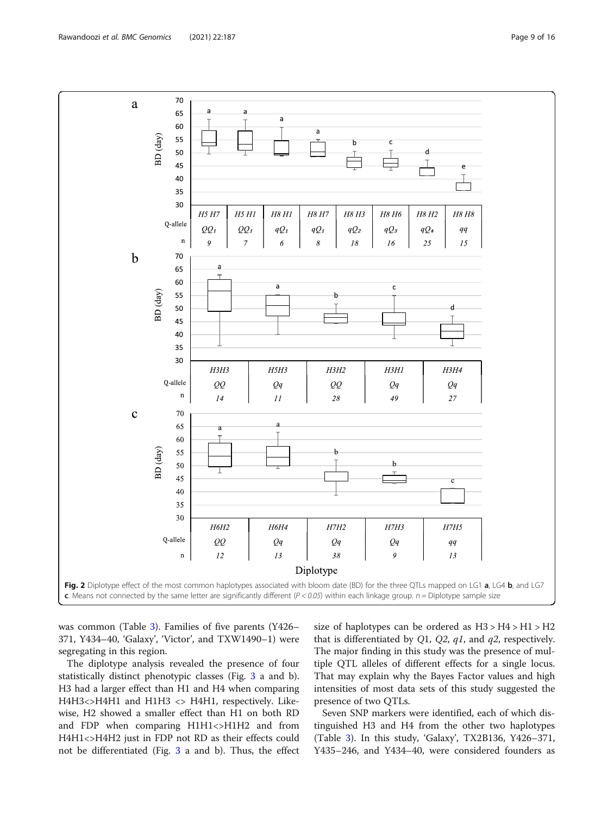<span id="page-8-0"></span>

was common (Table [3\)](#page-6-0). Families of five parents (Y426– 371, Y434–40, 'Galaxy', 'Victor', and TXW1490–1) were segregating in this region.

The diplotype analysis revealed the presence of four statistically distinct phenotypic classes (Fig. [3](#page-9-0) a and b). H3 had a larger effect than H1 and H4 when comparing H4H3<>H4H1 and H1H3 <> H4H1, respectively. Likewise, H2 showed a smaller effect than H1 on both RD and FDP when comparing H1H1<>H1H2 and from H4H1<>H4H2 just in FDP not RD as their effects could not be differentiated (Fig. [3](#page-9-0) a and b). Thus, the effect

size of haplotypes can be ordered as  $H3 > H4 > H1 > H2$ that is differentiated by Q1, Q2,  $q1$ , and  $q2$ , respectively. The major finding in this study was the presence of multiple QTL alleles of different effects for a single locus. That may explain why the Bayes Factor values and high intensities of most data sets of this study suggested the presence of two QTLs.

Seven SNP markers were identified, each of which distinguished H3 and H4 from the other two haplotypes (Table [3](#page-6-0)). In this study, 'Galaxy', TX2B136, Y426–371, Y435–246, and Y434–40, were considered founders as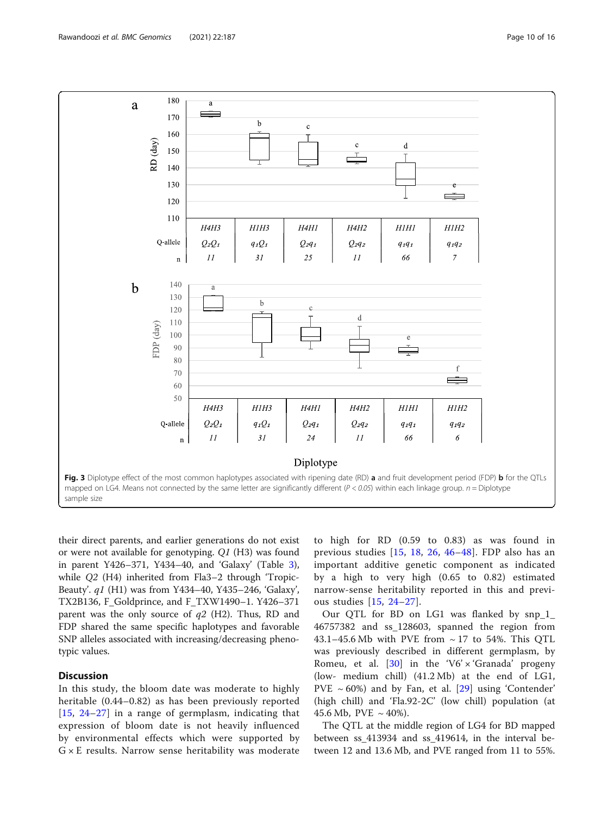<span id="page-9-0"></span>

their direct parents, and earlier generations do not exist or were not available for genotyping. Q1 (H3) was found in parent Y426–371, Y434–40, and 'Galaxy' (Table [3](#page-6-0)), while Q2 (H4) inherited from Fla3–2 through 'Tropic-Beauty'. q1 (H1) was from Y434–40, Y435–246, 'Galaxy', TX2B136, F\_Goldprince, and F\_TXW1490–1. Y426–371 parent was the only source of  $q2$  (H2). Thus, RD and FDP shared the same specific haplotypes and favorable SNP alleles associated with increasing/decreasing phenotypic values.

## **Discussion**

In this study, the bloom date was moderate to highly heritable (0.44–0.82) as has been previously reported [[15](#page-13-0), [24](#page-14-0)–[27\]](#page-14-0) in a range of germplasm, indicating that expression of bloom date is not heavily influenced by environmental effects which were supported by  $G \times E$  results. Narrow sense heritability was moderate

to high for RD (0.59 to 0.83) as was found in previous studies [[15,](#page-13-0) [18](#page-13-0), [26,](#page-14-0) [46](#page-14-0)–[48\]](#page-14-0). FDP also has an important additive genetic component as indicated by a high to very high (0.65 to 0.82) estimated narrow-sense heritability reported in this and previous studies [\[15](#page-13-0), [24](#page-14-0)–[27](#page-14-0)].

Our OTL for BD on LG1 was flanked by snp 1 46757382 and ss\_128603, spanned the region from 43.1–45.6 Mb with PVE from ~ 17 to 54%. This QTL was previously described in different germplasm, by Romeu, et al. [[30\]](#page-14-0) in the 'V6'  $\times$  'Granada' progeny (low- medium chill) (41.2 Mb) at the end of LG1, PVE  $\sim$  60%) and by Fan, et al. [[29\]](#page-14-0) using 'Contender' (high chill) and 'Fla.92-2C' (low chill) population (at 45.6 Mb, PVE  $\sim$  40%).

The QTL at the middle region of LG4 for BD mapped between ss\_413934 and ss\_419614, in the interval between 12 and 13.6 Mb, and PVE ranged from 11 to 55%.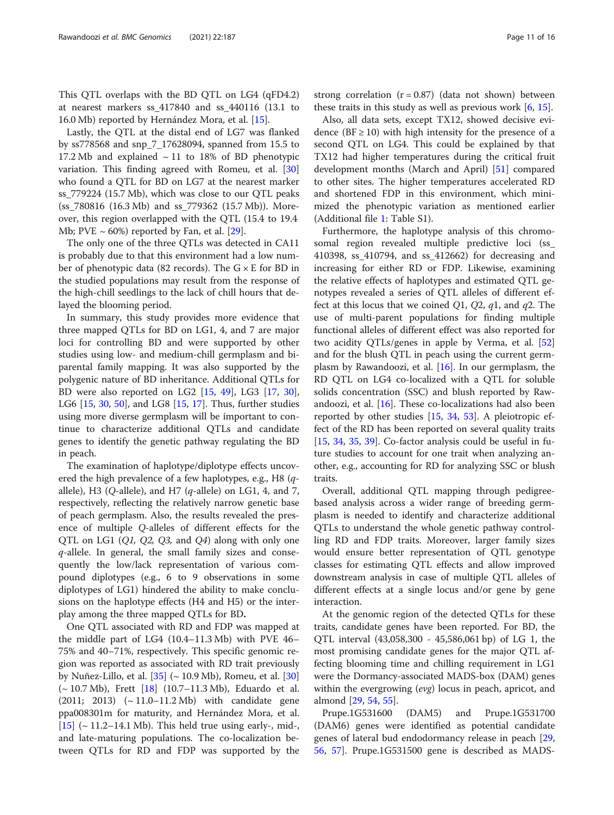This QTL overlaps with the BD QTL on LG4 (qFD4.2) at nearest markers ss\_417840 and ss\_440116 (13.1 to 16.0 Mb) reported by Hernández Mora, et al. [[15\]](#page-13-0).

Lastly, the QTL at the distal end of LG7 was flanked by ss778568 and snp\_7\_17628094, spanned from 15.5 to 17.2 Mb and explained  $\sim$  11 to 18% of BD phenotypic variation. This finding agreed with Romeu, et al. [[30](#page-14-0)] who found a QTL for BD on LG7 at the nearest marker ss\_779224 (15.7 Mb), which was close to our QTL peaks (ss\_780816 (16.3 Mb) and ss\_779362 (15.7 Mb)). Moreover, this region overlapped with the QTL (15.4 to 19.4 Mb; PVE  $\sim$  60%) reported by Fan, et al. [[29](#page-14-0)].

The only one of the three QTLs was detected in CA11 is probably due to that this environment had a low number of phenotypic data (82 records). The  $G \times E$  for BD in the studied populations may result from the response of the high-chill seedlings to the lack of chill hours that delayed the blooming period.

In summary, this study provides more evidence that three mapped QTLs for BD on LG1, 4, and 7 are major loci for controlling BD and were supported by other studies using low- and medium-chill germplasm and biparental family mapping. It was also supported by the polygenic nature of BD inheritance. Additional QTLs for BD were also reported on LG2 [[15,](#page-13-0) [49\]](#page-14-0), LG3 [\[17,](#page-13-0) [30](#page-14-0)], LG6 [[15](#page-13-0), [30,](#page-14-0) [50\]](#page-14-0), and LG8 [\[15](#page-13-0), [17](#page-13-0)]. Thus, further studies using more diverse germplasm will be important to continue to characterize additional QTLs and candidate genes to identify the genetic pathway regulating the BD in peach.

The examination of haplotype/diplotype effects uncovered the high prevalence of a few haplotypes, e.g., H8 (qallele), H3 (Q-allele), and H7 ( $q$ -allele) on LG1, 4, and 7, respectively, reflecting the relatively narrow genetic base of peach germplasm. Also, the results revealed the presence of multiple Q-alleles of different effects for the QTL on LG1 (Q1, Q2, Q3, and Q4) along with only one  $q$ -allele. In general, the small family sizes and consequently the low/lack representation of various compound diplotypes (e.g., 6 to 9 observations in some diplotypes of LG1) hindered the ability to make conclusions on the haplotype effects (H4 and H5) or the interplay among the three mapped QTLs for BD.

One QTL associated with RD and FDP was mapped at the middle part of LG4 (10.4–11.3 Mb) with PVE 46– 75% and 40–71%, respectively. This specific genomic region was reported as associated with RD trait previously by Nuñez-Lillo, et al.  $[35]$  $[35]$  ( $\sim$  10.9 Mb), Romeu, et al.  $[30]$  $[30]$  $[30]$  $(\sim 10.7 \text{ Mb})$ , Frett [\[18\]](#page-13-0) (10.7–11.3 Mb), Eduardo et al. (2011; 2013) (~ 11.0–11.2 Mb) with candidate gene ppa008301m for maturity, and Hernández Mora, et al.  $[15]$  $[15]$  ( $\sim$  11.2–14.1 Mb). This held true using early-, mid-, and late-maturing populations. The co-localization between QTLs for RD and FDP was supported by the strong correlation  $(r = 0.87)$  (data not shown) between these traits in this study as well as previous work  $[6, 15]$  $[6, 15]$  $[6, 15]$  $[6, 15]$  $[6, 15]$ .

Also, all data sets, except TX12, showed decisive evidence ( $BF \ge 10$ ) with high intensity for the presence of a second QTL on LG4. This could be explained by that TX12 had higher temperatures during the critical fruit development months (March and April) [[51\]](#page-14-0) compared to other sites. The higher temperatures accelerated RD and shortened FDP in this environment, which minimized the phenotypic variation as mentioned earlier (Additional file [1](#page-13-0): Table S1).

Furthermore, the haplotype analysis of this chromosomal region revealed multiple predictive loci (ss\_ 410398, ss\_410794, and ss\_412662) for decreasing and increasing for either RD or FDP. Likewise, examining the relative effects of haplotypes and estimated QTL genotypes revealed a series of QTL alleles of different effect at this locus that we coined Q1, Q2,  $q1$ , and  $q2$ . The use of multi-parent populations for finding multiple functional alleles of different effect was also reported for two acidity QTLs/genes in apple by Verma, et al. [[52](#page-14-0)] and for the blush QTL in peach using the current germplasm by Rawandoozi, et al.  $[16]$  $[16]$ . In our germplasm, the RD QTL on LG4 co-localized with a QTL for soluble solids concentration (SSC) and blush reported by Rawandoozi, et al. [[16\]](#page-13-0). These co-localizations had also been reported by other studies [[15,](#page-13-0) [34,](#page-14-0) [53\]](#page-14-0). A pleiotropic effect of the RD has been reported on several quality traits [[15,](#page-13-0) [34](#page-14-0), [35](#page-14-0), [39\]](#page-14-0). Co-factor analysis could be useful in future studies to account for one trait when analyzing another, e.g., accounting for RD for analyzing SSC or blush traits.

Overall, additional QTL mapping through pedigreebased analysis across a wider range of breeding germplasm is needed to identify and characterize additional QTLs to understand the whole genetic pathway controlling RD and FDP traits. Moreover, larger family sizes would ensure better representation of QTL genotype classes for estimating QTL effects and allow improved downstream analysis in case of multiple QTL alleles of different effects at a single locus and/or gene by gene interaction.

At the genomic region of the detected QTLs for these traits, candidate genes have been reported. For BD, the QTL interval (43,058,300 - 45,586,061 bp) of LG 1, the most promising candidate genes for the major QTL affecting blooming time and chilling requirement in LG1 were the Dormancy-associated MADS-box (DAM) genes within the evergrowing (evg) locus in peach, apricot, and almond [[29,](#page-14-0) [54](#page-14-0), [55](#page-14-0)].

Prupe.1G531600 (DAM5) and Prupe.1G531700 (DAM6) genes were identified as potential candidate genes of lateral bud endodormancy release in peach [[29](#page-14-0), [56,](#page-14-0) [57](#page-14-0)]. Prupe.1G531500 gene is described as MADS-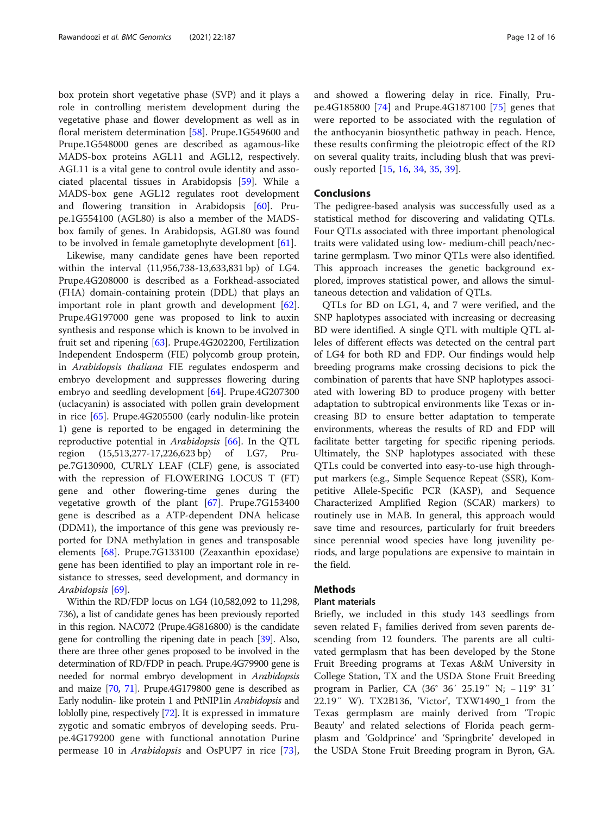box protein short vegetative phase (SVP) and it plays a role in controlling meristem development during the vegetative phase and flower development as well as in floral meristem determination [\[58](#page-14-0)]. Prupe.1G549600 and Prupe.1G548000 genes are described as agamous-like MADS-box proteins AGL11 and AGL12, respectively. AGL11 is a vital gene to control ovule identity and associated placental tissues in Arabidopsis [\[59\]](#page-14-0). While a MADS-box gene AGL12 regulates root development and flowering transition in Arabidopsis [\[60](#page-14-0)]. Prupe.1G554100 (AGL80) is also a member of the MADSbox family of genes. In Arabidopsis, AGL80 was found to be involved in female gametophyte development [\[61](#page-14-0)].

Likewise, many candidate genes have been reported within the interval (11,956,738-13,633,831 bp) of LG4. Prupe.4G208000 is described as a Forkhead-associated (FHA) domain-containing protein (DDL) that plays an important role in plant growth and development [\[62](#page-14-0)]. Prupe.4G197000 gene was proposed to link to auxin synthesis and response which is known to be involved in fruit set and ripening [\[63\]](#page-14-0). Prupe.4G202200, Fertilization Independent Endosperm (FIE) polycomb group protein, in Arabidopsis thaliana FIE regulates endosperm and embryo development and suppresses flowering during embryo and seedling development [\[64](#page-14-0)]. Prupe.4G207300 (uclacyanin) is associated with pollen grain development in rice [\[65](#page-15-0)]. Prupe.4G205500 (early nodulin-like protein 1) gene is reported to be engaged in determining the reproductive potential in Arabidopsis [[66\]](#page-15-0). In the QTL region (15,513,277-17,226,623 bp) of LG7, Prupe.7G130900, CURLY LEAF (CLF) gene, is associated with the repression of FLOWERING LOCUS T (FT) gene and other flowering-time genes during the vegetative growth of the plant [\[67](#page-15-0)]. Prupe.7G153400 gene is described as a ATP-dependent DNA helicase (DDM1), the importance of this gene was previously reported for DNA methylation in genes and transposable elements [[68\]](#page-15-0). Prupe.7G133100 (Zeaxanthin epoxidase) gene has been identified to play an important role in resistance to stresses, seed development, and dormancy in Arabidopsis [[69\]](#page-15-0).

Within the RD/FDP locus on LG4 (10,582,092 to 11,298, 736), a list of candidate genes has been previously reported in this region. NAC072 (Prupe.4G816800) is the candidate gene for controlling the ripening date in peach [[39](#page-14-0)]. Also, there are three other genes proposed to be involved in the determination of RD/FDP in peach. Prupe.4G79900 gene is needed for normal embryo development in Arabidopsis and maize [\[70,](#page-15-0) [71](#page-15-0)]. Prupe.4G179800 gene is described as Early nodulin- like protein 1 and PtNIP1in Arabidopsis and loblolly pine, respectively [[72](#page-15-0)]. It is expressed in immature zygotic and somatic embryos of developing seeds. Prupe.4G179200 gene with functional annotation Purine permease 10 in Arabidopsis and OsPUP7 in rice [\[73](#page-15-0)], and showed a flowering delay in rice. Finally, Prupe.4G185800 [[74](#page-15-0)] and Prupe.4G187100 [\[75](#page-15-0)] genes that were reported to be associated with the regulation of the anthocyanin biosynthetic pathway in peach. Hence, these results confirming the pleiotropic effect of the RD on several quality traits, including blush that was previously reported [[15](#page-13-0), [16](#page-13-0), [34](#page-14-0), [35,](#page-14-0) [39\]](#page-14-0).

#### **Conclusions**

The pedigree-based analysis was successfully used as a statistical method for discovering and validating QTLs. Four QTLs associated with three important phenological traits were validated using low- medium-chill peach/nectarine germplasm. Two minor QTLs were also identified. This approach increases the genetic background explored, improves statistical power, and allows the simultaneous detection and validation of QTLs.

QTLs for BD on LG1, 4, and 7 were verified, and the SNP haplotypes associated with increasing or decreasing BD were identified. A single QTL with multiple QTL alleles of different effects was detected on the central part of LG4 for both RD and FDP. Our findings would help breeding programs make crossing decisions to pick the combination of parents that have SNP haplotypes associated with lowering BD to produce progeny with better adaptation to subtropical environments like Texas or increasing BD to ensure better adaptation to temperate environments, whereas the results of RD and FDP will facilitate better targeting for specific ripening periods. Ultimately, the SNP haplotypes associated with these QTLs could be converted into easy-to-use high throughput markers (e.g., Simple Sequence Repeat (SSR), Kompetitive Allele-Specific PCR (KASP), and Sequence Characterized Amplified Region (SCAR) markers) to routinely use in MAB. In general, this approach would save time and resources, particularly for fruit breeders since perennial wood species have long juvenility periods, and large populations are expensive to maintain in the field.

## **Methods**

## Plant materials

Briefly, we included in this study 143 seedlings from seven related  $F_1$  families derived from seven parents descending from 12 founders. The parents are all cultivated germplasm that has been developed by the Stone Fruit Breeding programs at Texas A&M University in College Station, TX and the USDA Stone Fruit Breeding program in Parlier, CA (36° 36′ 25.19″ N; − 119° 31′ 22.19″ W). TX2B136, 'Victor', TXW1490\_1 from the Texas germplasm are mainly derived from 'Tropic Beauty' and related selections of Florida peach germplasm and 'Goldprince' and 'Springbrite' developed in the USDA Stone Fruit Breeding program in Byron, GA.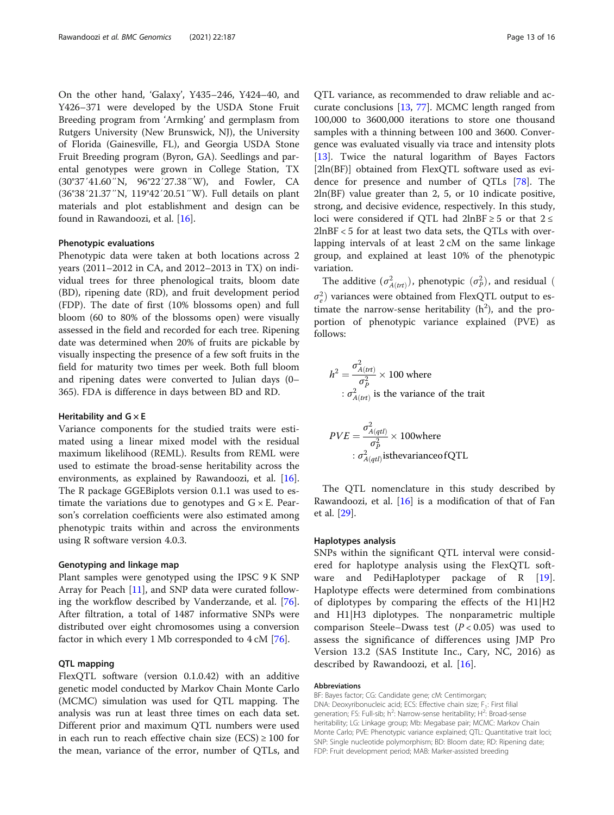On the other hand, 'Galaxy', Y435–246, Y424–40, and Y426–371 were developed by the USDA Stone Fruit Breeding program from 'Armking' and germplasm from Rutgers University (New Brunswick, NJ), the University of Florida (Gainesville, FL), and Georgia USDA Stone Fruit Breeding program (Byron, GA). Seedlings and parental genotypes were grown in College Station, TX (30°37′41.60″N, 96°22′27.38″W), and Fowler, CA (36°38′21.37″N, 119°42′20.51″W). Full details on plant materials and plot establishment and design can be found in Rawandoozi, et al. [[16](#page-13-0)].

#### Phenotypic evaluations

Phenotypic data were taken at both locations across 2 years (2011–2012 in CA, and 2012–2013 in TX) on individual trees for three phenological traits, bloom date (BD), ripening date (RD), and fruit development period (FDP). The date of first (10% blossoms open) and full bloom (60 to 80% of the blossoms open) were visually assessed in the field and recorded for each tree. Ripening date was determined when 20% of fruits are pickable by visually inspecting the presence of a few soft fruits in the field for maturity two times per week. Both full bloom and ripening dates were converted to Julian days (0– 365). FDA is difference in days between BD and RD.

#### Heritability and  $G \times E$

Variance components for the studied traits were estimated using a linear mixed model with the residual maximum likelihood (REML). Results from REML were used to estimate the broad-sense heritability across the environments, as explained by Rawandoozi, et al. [\[16](#page-13-0)]. The R package GGEBiplots version 0.1.1 was used to estimate the variations due to genotypes and  $G \times E$ . Pearson's correlation coefficients were also estimated among phenotypic traits within and across the environments using R software version 4.0.3.

## Genotyping and linkage map

Plant samples were genotyped using the IPSC 9 K SNP Array for Peach [[11\]](#page-13-0), and SNP data were curated following the workflow described by Vanderzande, et al. [\[76](#page-15-0)]. After filtration, a total of 1487 informative SNPs were distributed over eight chromosomes using a conversion factor in which every 1 Mb corresponded to 4 cM [\[76\]](#page-15-0).

#### QTL mapping

FlexQTL software (version 0.1.0.42) with an additive genetic model conducted by Markov Chain Monte Carlo (MCMC) simulation was used for QTL mapping. The analysis was run at least three times on each data set. Different prior and maximum QTL numbers were used in each run to reach effective chain size  $(ECS) \ge 100$  for the mean, variance of the error, number of QTLs, and

QTL variance, as recommended to draw reliable and accurate conclusions [\[13](#page-13-0), [77\]](#page-15-0). MCMC length ranged from 100,000 to 3600,000 iterations to store one thousand samples with a thinning between 100 and 3600. Convergence was evaluated visually via trace and intensity plots [[13\]](#page-13-0). Twice the natural logarithm of Bayes Factors [2ln(BF)] obtained from FlexQTL software used as evidence for presence and number of QTLs [[78\]](#page-15-0). The 2ln(BF) value greater than 2, 5, or 10 indicate positive, strong, and decisive evidence, respectively. In this study, loci were considered if QTL had  $2lnBF \ge 5$  or that 2 ≤ 2lnBF < 5 for at least two data sets, the QTLs with overlapping intervals of at least 2 cM on the same linkage group, and explained at least 10% of the phenotypic variation.

The additive  $(\sigma_{A(tr)}^2)$ , phenotypic  $(\sigma_P^2)$ , and residual (  $\sigma_e^2$ ) variances were obtained from FlexQTL output to estimate the narrow-sense heritability  $(h^2)$ , and the proportion of phenotypic variance explained (PVE) as follows:

$$
h^{2} = \frac{\sigma_{A(trt)}^{2}}{\sigma_{P}^{2}} \times 100
$$
 where  
  $\therefore \sigma_{A(trt)}^{2}$  is the variance of the trait

$$
PVE = \frac{\sigma_{A(qtl)}^2}{\sigma_P^2} \times 100 \text{where}
$$
  
:  $\sigma_{A(qtl)}^2$  is the variance of QTL

The QTL nomenclature in this study described by Rawandoozi, et al.  $[16]$  is a modification of that of Fan et al. [\[29](#page-14-0)].

## Haplotypes analysis

SNPs within the significant QTL interval were considered for haplotype analysis using the FlexQTL soft-ware and PediHaplotyper package of R [\[19](#page-13-0)]. Haplotype effects were determined from combinations of diplotypes by comparing the effects of the H1|H2 and H1|H3 diplotypes. The nonparametric multiple comparison Steele–Dwass test  $(P < 0.05)$  was used to assess the significance of differences using JMP Pro Version 13.2 (SAS Institute Inc., Cary, NC, 2016) as described by Rawandoozi, et al. [[16](#page-13-0)].

#### Abbreviations

BF: Bayes factor; CG: Candidate gene; cM: Centimorgan; DNA: Deoxyribonucleic acid; ECS: Effective chain size;  $F_1$ : First filial generation; FS: Full-sib; h<sup>2</sup>: Narrow-sense heritability; H<sup>2</sup>: Broad-sense heritability; LG: Linkage group; Mb: Megabase pair; MCMC: Markov Chain Monte Carlo; PVE: Phenotypic variance explained; QTL: Quantitative trait loci; SNP: Single nucleotide polymorphism; BD: Bloom date; RD: Ripening date; FDP: Fruit development period; MAB: Marker-assisted breeding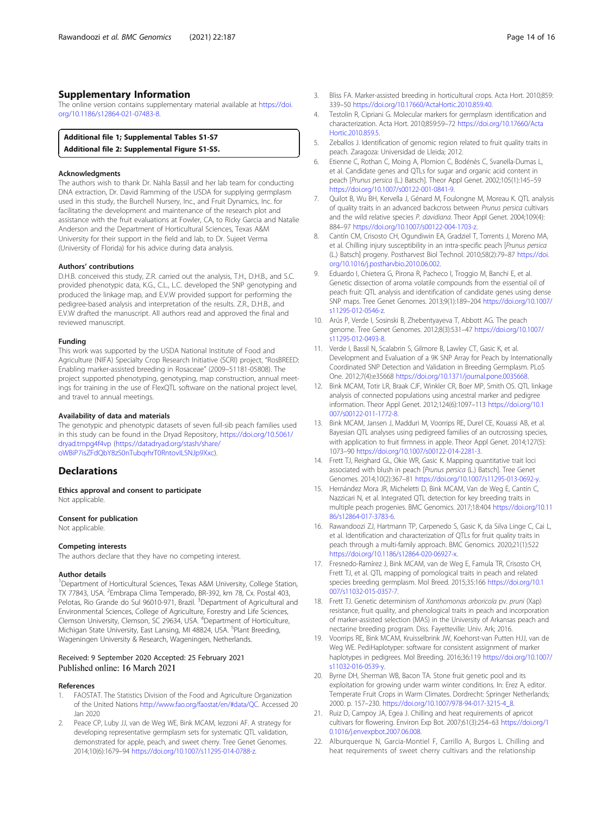## <span id="page-13-0"></span>Supplementary Information

The online version contains supplementary material available at [https://doi.](https://doi.org/10.1186/s12864-021-07483-8) [org/10.1186/s12864-021-07483-8.](https://doi.org/10.1186/s12864-021-07483-8)

## Additional file 1; Supplemental Tables S1-S7

Additional file 2: Supplemental Figure S1-S5.

#### Acknowledgments

The authors wish to thank Dr. Nahla Bassil and her lab team for conducting DNA extraction, Dr. David Ramming of the USDA for supplying germplasm used in this study, the Burchell Nursery, Inc., and Fruit Dynamics, Inc. for facilitating the development and maintenance of the research plot and assistance with the fruit evaluations at Fowler, CA, to Ricky Garcia and Natalie Anderson and the Department of Horticultural Sciences, Texas A&M University for their support in the field and lab, to Dr. Sujeet Verma (University of Florida) for his advice during data analysis.

#### Authors' contributions

D.H.B. conceived this study, Z.R. carried out the analysis, T.H., D.H.B., and S.C. provided phenotypic data, K.G., C.L., L.C. developed the SNP genotyping and produced the linkage map, and E.V.W provided support for performing the pedigree-based analysis and interpretation of the results. Z.R., D.H.B., and E.V.W drafted the manuscript. All authors read and approved the final and reviewed manuscript.

#### Funding

This work was supported by the USDA National Institute of Food and Agriculture (NIFA) Specialty Crop Research Initiative (SCRI) project, "RosBREED: Enabling marker-assisted breeding in Rosaceae" (2009–51181-05808). The project supported phenotyping, genotyping, map construction, annual meetings for training in the use of FlexQTL software on the national project level, and travel to annual meetings.

#### Availability of data and materials

The genotypic and phenotypic datasets of seven full-sib peach families used in this study can be found in the Dryad Repository, [https://doi.org/10.5061/](https://doi.org/10.5061/dryad.tmpg4f4vp) [dryad.tmpg4f4vp](https://doi.org/10.5061/dryad.tmpg4f4vp) [\(https://datadryad.org/stash/share/](https://datadryad.org/stash/share/oWBiP7isZFdQbY8zS0nTubqrhrT0RntovILSNJp9Xxc) [oWBiP7isZFdQbY8zS0nTubqrhrT0RntovILSNJp9Xxc\)](https://datadryad.org/stash/share/oWBiP7isZFdQbY8zS0nTubqrhrT0RntovILSNJp9Xxc).

## **Declarations**

Ethics approval and consent to participate Not applicable.

#### Consent for publication

Not applicable.

#### Competing interests

The authors declare that they have no competing interest.

#### Author details

<sup>1</sup>Department of Horticultural Sciences, Texas A&M University, College Station, TX 77843, USA. <sup>2</sup>Embrapa Clima Temperado, BR-392, km 78, Cx. Postal 403, Pelotas, Rio Grande do Sul 96010-971, Brazil. <sup>3</sup>Department of Agricultural and Environmental Sciences, College of Agriculture, Forestry and Life Sciences, Clemson University, Clemson, SC 29634, USA. <sup>4</sup> Department of Horticulture, Michigan State University, East Lansing, MI 48824, USA. <sup>5</sup>Plant Breeding, Wageningen University & Research, Wageningen, Netherlands.

#### Received: 9 September 2020 Accepted: 25 February 2021 Published online: 16 March 2021

#### References

- 1. FAOSTAT. The Statistics Division of the Food and Agriculture Organization of the United Nations [http://www.fao.org/faostat/en/#data/QC.](http://www.fao.org/faostat/en/#data/QC) Accessed 20 Jan 2020
- Peace CP, Luby JJ, van de Weg WE, Bink MCAM, Iezzoni AF. A strategy for developing representative germplasm sets for systematic QTL validation, demonstrated for apple, peach, and sweet cherry. Tree Genet Genomes. 2014;10(6):1679–94 [https://doi.org/10.1007/s11295-014-0788-z.](https://doi.org/10.1007/s11295-014-0788-z)
- 3. Bliss FA. Marker-assisted breeding in horticultural crops. Acta Hort. 2010;859: 339–50 <https://doi.org/10.17660/ActaHortic.2010.859.40>.
- 4. Testolin R, Cipriani G. Molecular markers for germplasm identification and characterization. Acta Hort. 2010;859:59–72 [https://doi.org/10.17660/Acta](https://doi.org/10.17660/ActaHortic.2010.859.5) [Hortic.2010.859.5.](https://doi.org/10.17660/ActaHortic.2010.859.5)
- 5. Zeballos J. Identification of genomic region related to fruit quality traits in peach. Zaragoza: Universidad de Lleida; 2012.
- 6. Etienne C, Rothan C, Moing A, Plomion C, Bodénès C, Svanella-Dumas L, et al. Candidate genes and QTLs for sugar and organic acid content in peach [Prunus persica (L.) Batsch]. Theor Appl Genet. 2002;105(1):145–59 <https://doi.org/10.1007/s00122-001-0841-9>.
- 7. Quilot B, Wu BH, Kervella J, Génard M, Foulongne M, Moreau K. QTL analysis of quality traits in an advanced backcross between Prunus persica cultivars and the wild relative species P. davidiana. Theor Appl Genet. 2004;109(4): 884–97 <https://doi.org/10.1007/s00122-004-1703-z>.
- 8. Cantín CM, Crisosto CH, Ogundiwin EA, Gradziel T, Torrents J, Moreno MA, et al. Chilling injury susceptibility in an intra-specific peach [Prunus persica (L.) Batsch] progeny. Postharvest Biol Technol. 2010;58(2):79–87 [https://doi.](https://doi.org/10.1016/j.postharvbio.2010.06.002) [org/10.1016/j.postharvbio.2010.06.002.](https://doi.org/10.1016/j.postharvbio.2010.06.002)
- 9. Eduardo I, Chietera G, Pirona R, Pacheco I, Troggio M, Banchi E, et al. Genetic dissection of aroma volatile compounds from the essential oil of peach fruit: QTL analysis and identification of candidate genes using dense SNP maps. Tree Genet Genomes. 2013;9(1):189–204 [https://doi.org/10.1007/](https://doi.org/10.1007/s11295-012-0546-z) [s11295-012-0546-z](https://doi.org/10.1007/s11295-012-0546-z).
- 10. Arús P, Verde I, Sosinski B, Zhebentyayeva T, Abbott AG. The peach genome. Tree Genet Genomes. 2012;8(3):531–47 [https://doi.org/10.1007/](https://doi.org/10.1007/s11295-012-0493-8) [s11295-012-0493-8.](https://doi.org/10.1007/s11295-012-0493-8)
- 11. Verde I, Bassil N, Scalabrin S, Gilmore B, Lawley CT, Gasic K, et al. Development and Evaluation of a 9K SNP Array for Peach by Internationally Coordinated SNP Detection and Validation in Breeding Germplasm. PLoS One. 2012;7(4):e35668 [https://doi.org/10.1371/journal.pone.0035668.](https://doi.org/10.1371/journal.pone.0035668)
- 12. Bink MCAM, Totir LR, Braak CJF, Winkler CR, Boer MP, Smith OS. QTL linkage analysis of connected populations using ancestral marker and pedigree information. Theor Appl Genet. 2012;124(6):1097–113 [https://doi.org/10.1](https://doi.org/10.1007/s00122-011-1772-8) [007/s00122-011-1772-8.](https://doi.org/10.1007/s00122-011-1772-8)
- 13. Bink MCAM, Jansen J, Madduri M, Voorrips RE, Durel CE, Kouassi AB, et al. Bayesian QTL analyses using pedigreed families of an outcrossing species, with application to fruit firmness in apple. Theor Appl Genet. 2014;127(5): 1073–90 <https://doi.org/10.1007/s00122-014-2281-3>.
- 14. Frett TJ, Reighard GL, Okie WR, Gasic K. Mapping quantitative trait loci associated with blush in peach [Prunus persica (L.) Batsch]. Tree Genet Genomes. 2014;10(2):367–81 <https://doi.org/10.1007/s11295-013-0692-y>.
- 15. Hernández Mora JR, Micheletti D, Bink MCAM, Van de Weg E, Cantín C, Nazzicari N, et al. Integrated QTL detection for key breeding traits in multiple peach progenies. BMC Genomics. 2017;18:404 [https://doi.org/10.11](https://doi.org/10.1186/s12864-017-3783-6) [86/s12864-017-3783-6](https://doi.org/10.1186/s12864-017-3783-6).
- 16. Rawandoozi ZJ, Hartmann TP, Carpenedo S, Gasic K, da Silva Linge C, Cai L, et al. Identification and characterization of QTLs for fruit quality traits in peach through a multi-family approach. BMC Genomics. 2020;21(1):522 <https://doi.org/10.1186/s12864-020-06927-x>.
- 17. Fresnedo-Ramírez J, Bink MCAM, van de Weg E, Famula TR, Crisosto CH, Frett TJ, et al. QTL mapping of pomological traits in peach and related species breeding germplasm. Mol Breed. 2015;35:166 [https://doi.org/10.1](https://doi.org/10.1007/s11032-015-0357-7) [007/s11032-015-0357-7.](https://doi.org/10.1007/s11032-015-0357-7)
- 18. Frett TJ. Genetic determinism of Xanthomonas arboricola pv. pruni (Xap) resistance, fruit quality, and phenological traits in peach and incorporation of marker-assisted selection (MAS) in the University of Arkansas peach and nectarine breeding program. Diss. Fayetteville: Univ. Ark; 2016.
- 19. Voorrips RE, Bink MCAM, Kruisselbrink JW, Koehorst-van Putten HJJ, van de Weg WE. PediHaplotyper: software for consistent assignment of marker haplotypes in pedigrees. Mol Breeding. 2016;36:119 [https://doi.org/10.1007/](https://doi.org/10.1007/s11032-016-0539-y) [s11032-016-0539-y.](https://doi.org/10.1007/s11032-016-0539-y)
- 20. Byrne DH, Sherman WB, Bacon TA. Stone fruit genetic pool and its exploitation for growing under warm winter conditions. In: Erez A, editor. Temperate Fruit Crops in Warm Climates. Dordrecht: Springer Netherlands; 2000. p. 157–230. [https://doi.org/10.1007/978-94-017-3215-4\\_8](https://doi.org/10.1007/978-94-017-3215-4_8).
- 21. Ruiz D, Campoy JA, Egea J. Chilling and heat requirements of apricot cultivars for flowering. Environ Exp Bot. 2007;61(3):254–63 [https://doi.org/1](https://doi.org/10.1016/j.envexpbot.2007.06.008) [0.1016/j.envexpbot.2007.06.008.](https://doi.org/10.1016/j.envexpbot.2007.06.008)
- 22. Alburquerque N, Garcia-Montiel F, Carrillo A, Burgos L. Chilling and heat requirements of sweet cherry cultivars and the relationship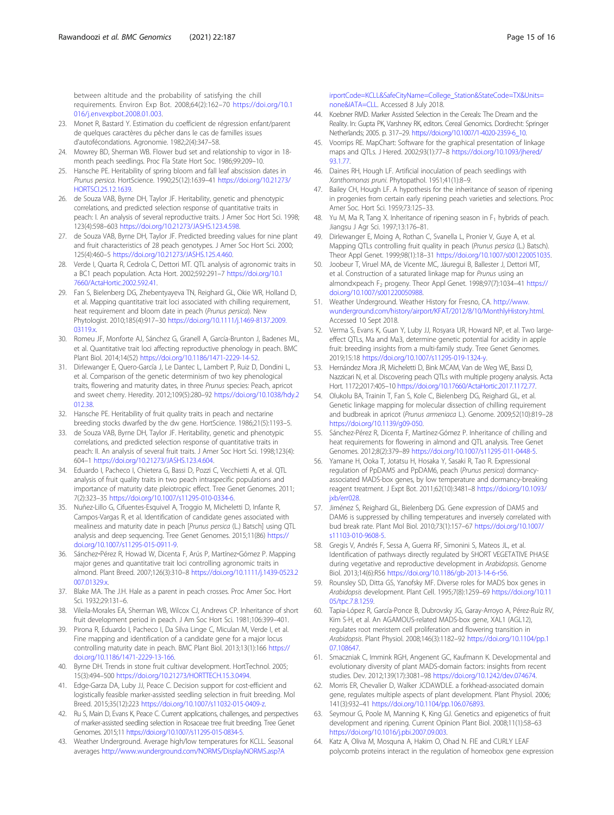<span id="page-14-0"></span>between altitude and the probability of satisfying the chill requirements. Environ Exp Bot. 2008;64(2):162–70 [https://doi.org/10.1](https://doi.org/10.1016/j.envexpbot.2008.01.003) [016/j.envexpbot.2008.01.003.](https://doi.org/10.1016/j.envexpbot.2008.01.003)

- 23. Monet R, Bastard Y. Estimation du coefficient de régression enfant/parent de quelques caractères du pêcher dans le cas de familles issues d'autofécondations. Agronomie. 1982;2(4):347–58.
- 24. Mowrey BD, Sherman WB. Flower bud set and relationship to vigor in 18 month peach seedlings. Proc Fla State Hort Soc. 1986;99:209–10.
- 25. Hansche PE. Heritability of spring bloom and fall leaf abscission dates in Prunus persica. HortScience. 1990;25(12):1639–41 [https://doi.org/10.21273/](https://doi.org/10.21273/HORTSCI.25.12.1639) [HORTSCI.25.12.1639](https://doi.org/10.21273/HORTSCI.25.12.1639).
- 26. de Souza VAB, Byrne DH, Taylor JF. Heritability, genetic and phenotypic correlations, and predicted selection response of quantitative traits in peach: I. An analysis of several reproductive traits. J Amer Soc Hort Sci. 1998; 123(4):598–603 <https://doi.org/10.21273/JASHS.123.4.598>.
- 27. de Souza VAB, Byrne DH, Taylor JF. Predicted breeding values for nine plant and fruit characteristics of 28 peach genotypes. J Amer Soc Hort Sci. 2000; 125(4):460–5 <https://doi.org/10.21273/JASHS.125.4.460>.
- 28. Verde I, Quarta R, Cedrola C, Dettori MT. QTL analysis of agronomic traits in a BC1 peach population. Acta Hort. 2002;592:291–7 [https://doi.org/10.1](https://doi.org/10.17660/ActaHortic.2002.592.41) [7660/ActaHortic.2002.592.41.](https://doi.org/10.17660/ActaHortic.2002.592.41)
- 29. Fan S, Bielenberg DG, Zhebentyayeva TN, Reighard GL, Okie WR, Holland D, et al. Mapping quantitative trait loci associated with chilling requirement, heat requirement and bloom date in peach (Prunus persica). New Phytologist. 2010;185(4):917–30 [https://doi.org/10.1111/j.1469-8137.2009.](https://doi.org/10.1111/j.1469-8137.2009.03119.x) 03119x
- 30. Romeu JF, Monforte AJ, Sánchez G, Granell A, García-Brunton J, Badenes ML, et al. Quantitative trait loci affecting reproductive phenology in peach. BMC Plant Biol. 2014;14(52) <https://doi.org/10.1186/1471-2229-14-52>.
- 31. Dirlewanger E, Quero-García J, Le Dantec L, Lambert P, Ruiz D, Dondini L, et al. Comparison of the genetic determinism of two key phenological traits, flowering and maturity dates, in three Prunus species: Peach, apricot and sweet cherry. Heredity. 2012;109(5):280–92 [https://doi.org/10.1038/hdy.2](https://doi.org/10.1038/hdy.2012.38) [012.38.](https://doi.org/10.1038/hdy.2012.38)
- 32. Hansche PE. Heritability of fruit quality traits in peach and nectarine breeding stocks dwarfed by the dw gene. HortScience. 1986;21(5):1193–5.
- 33. de Souza VAB, Byrne DH, Taylor JF. Heritability, genetic and phenotypic correlations, and predicted selection response of quantitative traits in peach: II. An analysis of several fruit traits. J Amer Soc Hort Sci. 1998;123(4): 604–1 [https://doi.org/10.21273/JASHS.123.4.604.](https://doi.org/10.21273/JASHS.123.4.604)
- 34. Eduardo I, Pacheco I, Chietera G, Bassi D, Pozzi C, Vecchietti A, et al. QTL analysis of fruit quality traits in two peach intraspecific populations and importance of maturity date pleiotropic effect. Tree Genet Genomes. 2011; 7(2):323–35 [https://doi.org/10.1007/s11295-010-0334-6.](https://doi.org/10.1007/s11295-010-0334-6)
- 35. Nuñez-Lillo G, Cifuentes-Esquivel A, Troggio M, Micheletti D, Infante R, Campos-Vargas R, et al. Identification of candidate genes associated with mealiness and maturity date in peach [Prunus persica (L.) Batsch] using QTL analysis and deep sequencing. Tree Genet Genomes. 2015;11(86) [https://](https://doi.org/10.1007/s11295-015-0911-9) [doi.org/10.1007/s11295-015-0911-9](https://doi.org/10.1007/s11295-015-0911-9).
- 36. Sánchez‐Pérez R, Howad W, Dicenta F, Arús P, Martínez‐Gómez P. Mapping major genes and quantitative trait loci controlling agronomic traits in almond. Plant Breed. 2007;126(3):310–8 [https://doi.org/10.1111/j.1439-0523.2](https://doi.org/10.1111/j.1439-0523.2007.01329.x) [007.01329.x](https://doi.org/10.1111/j.1439-0523.2007.01329.x).
- 37. Blake MA. The J.H. Hale as a parent in peach crosses. Proc Amer Soc. Hort Sci. 1932;29:131–6.
- 38. Vileila-Morales EA, Sherman WB, Wilcox CJ, Andrews CP. Inheritance of short fruit development period in peach. J Am Soc Hort Sci. 1981;106:399–401.
- 39. Pirona R, Eduardo I, Pacheco I, Da Silva Linge C, Miculan M, Verde I, et al. Fine mapping and identification of a candidate gene for a major locus controlling maturity date in peach. BMC Plant Biol. 2013;13(1):166 [https://](https://doi.org/10.1186/1471-2229-13-166) [doi.org/10.1186/1471-2229-13-166.](https://doi.org/10.1186/1471-2229-13-166)
- 40. Byrne DH. Trends in stone fruit cultivar development. HortTechnol. 2005; 15(3):494–500 <https://doi.org/10.21273/HORTTECH.15.3.0494>.
- 41. Edge-Garza DA, Luby JJ, Peace C. Decision support for cost-efficient and logistically feasible marker-assisted seedling selection in fruit breeding. Mol Breed. 2015;35(12):223 [https://doi.org/10.1007/s11032-015-0409-z.](https://doi.org/10.1007/s11032-015-0409-z)
- 42. Ru S, Main D, Evans K, Peace C. Current applications, challenges, and perspectives of marker-assisted seedling selection in Rosaceae tree fruit breeding. Tree Genet Genomes. 2015;11 <https://doi.org/10.1007/s11295-015-0834-5>.
- 43. Weather Underground. Average high/low temperatures for KCLL. Seasonal averages [http://www.wunderground.com/NORMS/DisplayNORMS.asp?A](http://www.wunderground.com/NORMS/DisplayNORMS.asp?AirportCode=KCLL&SafeCityName=College_Station&StateCode=TX&Units=none&IATA=CLL)

[irportCode=KCLL&SafeCityName=College\\_Station&StateCode=TX&Units=](http://www.wunderground.com/NORMS/DisplayNORMS.asp?AirportCode=KCLL&SafeCityName=College_Station&StateCode=TX&Units=none&IATA=CLL) [none&IATA=CLL](http://www.wunderground.com/NORMS/DisplayNORMS.asp?AirportCode=KCLL&SafeCityName=College_Station&StateCode=TX&Units=none&IATA=CLL). Accessed 8 July 2018.

- 44. Koebner RMD. Marker Assisted Selection in the Cereals: The Dream and the Reality. In: Gupta PK, Varshney RK, editors. Cereal Genomics. Dordrecht: Springer Netherlands; 2005. p. 317–29. [https://doi.org/10.1007/1-4020-2359-6\\_10](https://doi.org/10.1007/1-4020-2359-6_10).
- 45. Voorrips RE. MapChart: Software for the graphical presentation of linkage maps and QTLs. J Hered. 2002;93(1):77–8 [https://doi.org/10.1093/jhered/](https://doi.org/10.1093/jhered/93.1.77) [93.1.77](https://doi.org/10.1093/jhered/93.1.77).
- 46. Daines RH, Hough LF. Artificial inoculation of peach seedlings with Xanthomonas pruni. Phytopathol. 1951;41(1):8–9.
- 47. Bailey CH, Hough LF. A hypothesis for the inheritance of season of ripening in progenies from certain early ripening peach varieties and selections. Proc Amer Soc. Hort Sci. 1959;73:125–33.
- 48. Yu M, Ma R, Tang X. Inheritance of ripening season in  $F_1$  hybrids of peach. Jiangsu J Agr Sci. 1997;13:176–81.
- 49. Dirlewanger E, Moing A, Rothan C, Svanella L, Pronier V, Guye A, et al. Mapping QTLs controlling fruit quality in peach (Prunus persica (L.) Batsch). Theor Appl Genet. 1999;98(1):18–31 <https://doi.org/10.1007/s001220051035>.
- 50. Joobeur T, Viruel MA, de Vicente MC, Jáuregui B, Ballester J, Dettori MT, et al. Construction of a saturated linkage map for Prunus using an almond×peach F<sub>2</sub> progeny. Theor Appl Genet. 1998;97(7):1034-41 [https://](https://doi.org/10.1007/s001220050988) [doi.org/10.1007/s001220050988.](https://doi.org/10.1007/s001220050988)
- 51. Weather Underground. Weather History for Fresno, CA. [http://www.](http://www.wunderground.com/history/airport/KFAT/2012/8/10/MonthlyHistory.html) [wunderground.com/history/airport/KFAT/2012/8/10/MonthlyHistory.html](http://www.wunderground.com/history/airport/KFAT/2012/8/10/MonthlyHistory.html). Accessed 10 Sept 2018.
- 52. Verma S, Evans K, Guan Y, Luby JJ, Rosyara UR, Howard NP, et al. Two largeeffect QTLs, Ma and Ma3, determine genetic potential for acidity in apple fruit: breeding insights from a multi-family study. Tree Genet Genomes. 2019;15:18 [https://doi.org/10.1007/s11295-019-1324-y.](https://doi.org/10.1007/s11295-019-1324-y)
- 53. Hernández Mora JR, Micheletti D, Bink MCAM, Van de Weg WE, Bassi D, Nazzicari N, et al. Discovering peach QTLs with multiple progeny analysis. Acta Hort. 1172;2017:405–10 <https://doi.org/10.17660/ActaHortic.2017.1172.77>.
- 54. Olukolu BA, Trainin T, Fan S, Kole C, Bielenberg DG, Reighard GL, et al. Genetic linkage mapping for molecular dissection of chilling requirement and budbreak in apricot (Prunus armeniaca L.). Genome. 2009;52(10):819–28 [https://doi.org/10.1139/g09-050.](https://doi.org/10.1139/g09-050)
- 55. Sánchez-Pérez R, Dicenta F, Martínez-Gómez P. Inheritance of chilling and heat requirements for flowering in almond and QTL analysis. Tree Genet Genomes. 2012;8(2):379–89 [https://doi.org/10.1007/s11295-011-0448-5.](https://doi.org/10.1007/s11295-011-0448-5)
- 56. Yamane H, Ooka T, Jotatsu H, Hosaka Y, Sasaki R, Tao R. Expressional regulation of PpDAM5 and PpDAM6, peach (Prunus persica) dormancyassociated MADS-box genes, by low temperature and dormancy-breaking reagent treatment. J Expt Bot. 2011;62(10):3481–8 [https://doi.org/10.1093/](https://doi.org/10.1093/jxb/err028) ixb/err028
- 57. Jiménez S, Reighard GL, Bielenberg DG. Gene expression of DAM5 and DAM6 is suppressed by chilling temperatures and inversely correlated with bud break rate. Plant Mol Biol. 2010;73(1):157–67 [https://doi.org/10.1007/](https://doi.org/10.1007/s11103-010-9608-5) [s11103-010-9608-5.](https://doi.org/10.1007/s11103-010-9608-5)
- 58. Gregis V, Andrés F, Sessa A, Guerra RF, Simonini S, Mateos JL, et al. Identification of pathways directly regulated by SHORT VEGETATIVE PHASE during vegetative and reproductive development in Arabidopsis. Genome Biol. 2013;14(6):R56 [https://doi.org/10.1186/gb-2013-14-6-r56.](https://doi.org/10.1186/gb-2013-14-6-r56)
- 59. Rounsley SD, Ditta GS, Yanofsky MF. Diverse roles for MADS box genes in Arabidopsis development. Plant Cell. 1995;7(8):1259–69 [https://doi.org/10.11](https://doi.org/10.1105/tpc.7.8.1259) [05/tpc.7.8.1259](https://doi.org/10.1105/tpc.7.8.1259).
- 60. Tapia-López R, García-Ponce B, Dubrovsky JG, Garay-Arroyo A, Pérez-Ruíz RV, Kim S-H, et al. An AGAMOUS-related MADS-box gene, XAL1 (AGL12), regulates root meristem cell proliferation and flowering transition in Arabidopsis. Plant Physiol. 2008;146(3):1182–92 [https://doi.org/10.1104/pp.1](https://doi.org/10.1104/pp.107.108647) [07.108647](https://doi.org/10.1104/pp.107.108647).
- 61. Smaczniak C, Immink RGH, Angenent GC, Kaufmann K. Developmental and evolutionary diversity of plant MADS-domain factors: insights from recent studies. Dev. 2012;139(17):3081–98 [https://doi.org/10.1242/dev.074674.](https://doi.org/10.1242/dev.074674)
- 62. Morris ER, Chevalier D, Walker JCDAWDLE. a forkhead-associated domain gene, regulates multiple aspects of plant development. Plant Physiol. 2006; 141(3):932–41 <https://doi.org/10.1104/pp.106.076893>.
- 63. Seymour G, Poole M, Manning K, King GJ. Genetics and epigenetics of fruit development and ripening. Current Opinion Plant Biol. 2008;11(1):58–63 <https://doi.org/10.1016/j.pbi.2007.09.003>.
- 64. Katz A, Oliva M, Mosquna A, Hakim O, Ohad N. FIE and CURLY LEAF polycomb proteins interact in the regulation of homeobox gene expression